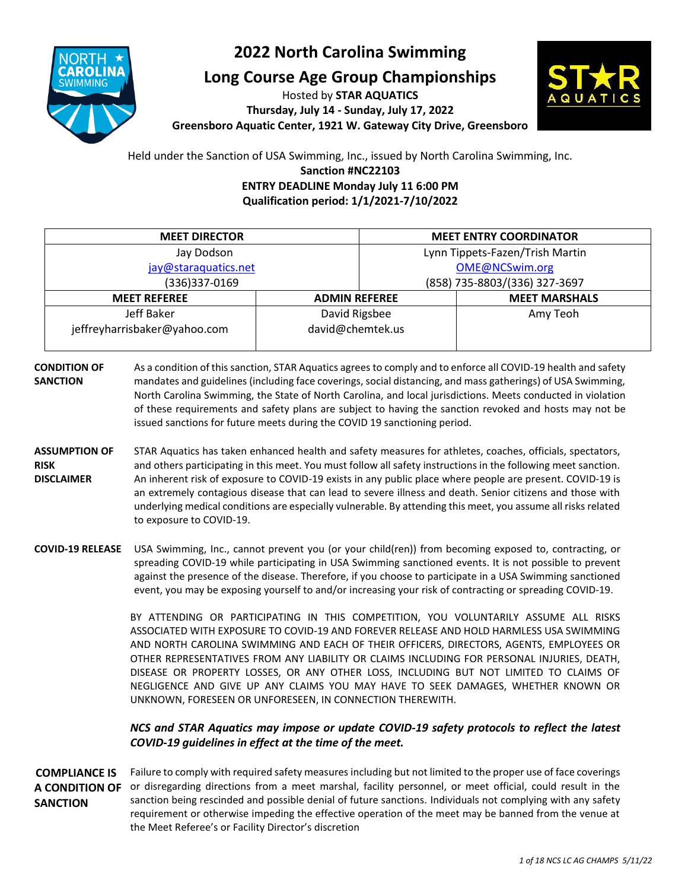

### **2022 North Carolina Swimming**

**Long Course Age Group Championships**

Hosted by **STAR AQUATICS Thursday, July 14 - Sunday, July 17, 2022 Greensboro Aquatic Center, 1921 W. Gateway City Drive, Greensboro**



Held under the Sanction of USA Swimming, Inc., issued by North Carolina Swimming, Inc. **Sanction #NC22103 ENTRY DEADLINE Monday July 11 6:00 PM Qualification period: 1/1/2021-7/10/2022**

| <b>MEET DIRECTOR</b>                        |                  |                               | <b>MEET ENTRY COORDINATOR</b>   |
|---------------------------------------------|------------------|-------------------------------|---------------------------------|
| Jay Dodson                                  |                  |                               | Lynn Tippets-Fazen/Trish Martin |
| jay@staraquatics.net                        |                  | OME@NCSwim.org                |                                 |
| (336)337-0169                               |                  | (858) 735-8803/(336) 327-3697 |                                 |
| <b>MEET REFEREE</b><br><b>ADMIN REFEREE</b> |                  |                               | <b>MEET MARSHALS</b>            |
| Jeff Baker                                  | David Rigsbee    |                               | Amy Teoh                        |
| jeffreyharrisbaker@yahoo.com                | david@chemtek.us |                               |                                 |
|                                             |                  |                               |                                 |

- **CONDITION OF SANCTION** As a condition of this sanction, STAR Aquatics agrees to comply and to enforce all COVID-19 health and safety mandates and guidelines (including face coverings, social distancing, and mass gatherings) of USA Swimming, North Carolina Swimming, the State of North Carolina, and local jurisdictions. Meets conducted in violation of these requirements and safety plans are subject to having the sanction revoked and hosts may not be issued sanctions for future meets during the COVID 19 sanctioning period.
- **ASSUMPTION OF RISK DISCLAIMER** STAR Aquatics has taken enhanced health and safety measures for athletes, coaches, officials, spectators, and others participating in this meet. You must follow all safety instructions in the following meet sanction. An inherent risk of exposure to COVID-19 exists in any public place where people are present. COVID-19 is an extremely contagious disease that can lead to severe illness and death. Senior citizens and those with underlying medical conditions are especially vulnerable. By attending this meet, you assume all risks related to exposure to COVID-19.
- **COVID-19 RELEASE** USA Swimming, Inc., cannot prevent you (or your child(ren)) from becoming exposed to, contracting, or spreading COVID-19 while participating in USA Swimming sanctioned events. It is not possible to prevent against the presence of the disease. Therefore, if you choose to participate in a USA Swimming sanctioned event, you may be exposing yourself to and/or increasing your risk of contracting or spreading COVID-19.

BY ATTENDING OR PARTICIPATING IN THIS COMPETITION, YOU VOLUNTARILY ASSUME ALL RISKS ASSOCIATED WITH EXPOSURE TO COVID-19 AND FOREVER RELEASE AND HOLD HARMLESS USA SWIMMING AND NORTH CAROLINA SWIMMING AND EACH OF THEIR OFFICERS, DIRECTORS, AGENTS, EMPLOYEES OR OTHER REPRESENTATIVES FROM ANY LIABILITY OR CLAIMS INCLUDING FOR PERSONAL INJURIES, DEATH, DISEASE OR PROPERTY LOSSES, OR ANY OTHER LOSS, INCLUDING BUT NOT LIMITED TO CLAIMS OF NEGLIGENCE AND GIVE UP ANY CLAIMS YOU MAY HAVE TO SEEK DAMAGES, WHETHER KNOWN OR UNKNOWN, FORESEEN OR UNFORESEEN, IN CONNECTION THEREWITH.

### *NCS and STAR Aquatics may impose or update COVID-19 safety protocols to reflect the latest COVID-19 guidelines in effect at the time of the meet.*

**COMPLIANCE IS**  A CONDITION OF or disregarding directions from a meet marshal, facility personnel, or meet official, could result in the **SANCTION** Failure to comply with required safety measures including but not limited to the proper use of face coverings sanction being rescinded and possible denial of future sanctions. Individuals not complying with any safety requirement or otherwise impeding the effective operation of the meet may be banned from the venue at the Meet Referee's or Facility Director's discretion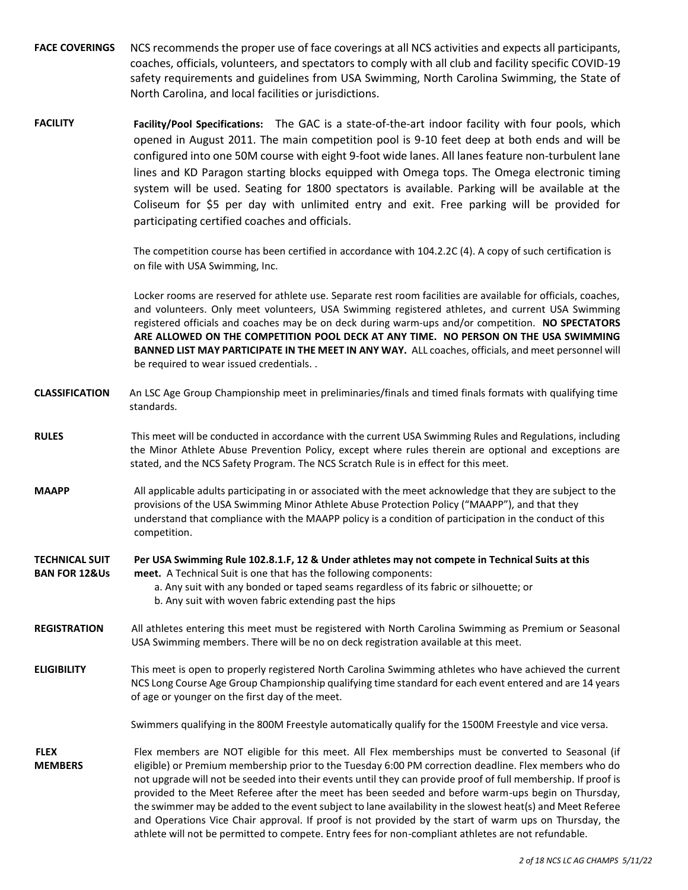- **FACE COVERINGS** NCS recommends the proper use of face coverings at all NCS activities and expects all participants, coaches, officials, volunteers, and spectators to comply with all club and facility specific COVID-19 safety requirements and guidelines from USA Swimming, North Carolina Swimming, the State of North Carolina, and local facilities or jurisdictions.
- **FACILITY Facility/Pool Specifications:** The GAC is a state-of-the-art indoor facility with four pools, which opened in August 2011. The main competition pool is 9-10 feet deep at both ends and will be configured into one 50M course with eight 9-foot wide lanes. All lanes feature non-turbulent lane lines and KD Paragon starting blocks equipped with Omega tops. The Omega electronic timing system will be used. Seating for 1800 spectators is available. Parking will be available at the Coliseum for \$5 per day with unlimited entry and exit. Free parking will be provided for participating certified coaches and officials.

The competition course has been certified in accordance with 104.2.2C (4). A copy of such certification is on file with USA Swimming, Inc.

Locker rooms are reserved for athlete use. Separate rest room facilities are available for officials, coaches, and volunteers. Only meet volunteers, USA Swimming registered athletes, and current USA Swimming registered officials and coaches may be on deck during warm-ups and/or competition. **NO SPECTATORS ARE ALLOWED ON THE COMPETITION POOL DECK AT ANY TIME. NO PERSON ON THE USA SWIMMING BANNED LIST MAY PARTICIPATE IN THE MEET IN ANY WAY.** ALL coaches, officials, and meet personnel will be required to wear issued credentials. .

- **CLASSIFICATION** An LSC Age Group Championship meet in preliminaries/finals and timed finals formats with qualifying time standards.
- **RULES** This meet will be conducted in accordance with the current USA Swimming Rules and Regulations, including the Minor Athlete Abuse Prevention Policy, except where rules therein are optional and exceptions are stated, and the NCS Safety Program. The NCS Scratch Rule is in effect for this meet.
- **MAAPP** All applicable adults participating in or associated with the meet acknowledge that they are subject to the provisions of the USA Swimming Minor Athlete Abuse Protection Policy ("MAAPP"), and that they understand that compliance with the MAAPP policy is a condition of participation in the conduct of this competition.

#### **TECHNICAL SUIT BAN FOR 12&Us Per USA Swimming Rule 102.8.1.F, 12 & Under athletes may not compete in Technical Suits at this meet.** A Technical Suit is one that has the following components:

- a. Any suit with any bonded or taped seams regardless of its fabric or silhouette; or b. Any suit with woven fabric extending past the hips
- **REGISTRATION** All athletes entering this meet must be registered with North Carolina Swimming as Premium or Seasonal USA Swimming members. There will be no on deck registration available at this meet.
- **ELIGIBILITY** This meet is open to properly registered North Carolina Swimming athletes who have achieved the current NCS Long Course Age Group Championship qualifying time standard for each event entered and are 14 years of age or younger on the first day of the meet.

Swimmers qualifying in the 800M Freestyle automatically qualify for the 1500M Freestyle and vice versa.

**FLEX MEMBERS** Flex members are NOT eligible for this meet. All Flex memberships must be converted to Seasonal (if eligible) or Premium membership prior to the Tuesday 6:00 PM correction deadline. Flex members who do not upgrade will not be seeded into their events until they can provide proof of full membership. If proof is provided to the Meet Referee after the meet has been seeded and before warm-ups begin on Thursday, the swimmer may be added to the event subject to lane availability in the slowest heat(s) and Meet Referee and Operations Vice Chair approval. If proof is not provided by the start of warm ups on Thursday, the athlete will not be permitted to compete. Entry fees for non-compliant athletes are not refundable.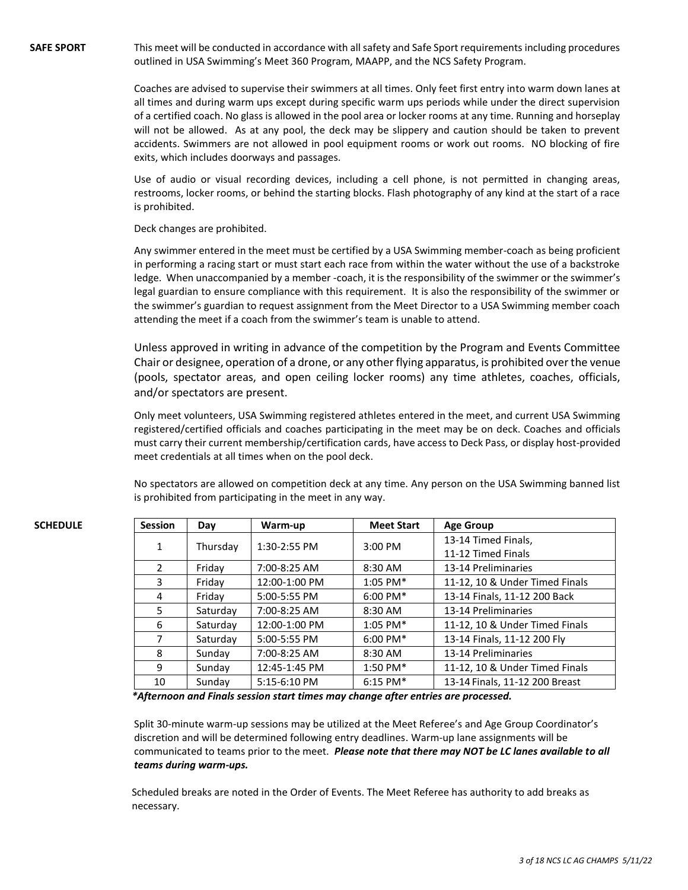**SAFE SPORT** This meet will be conducted in accordance with all safety and Safe Sport requirements including procedures outlined in USA Swimming's Meet 360 Program, MAAPP, and the NCS Safety Program.

> Coaches are advised to supervise their swimmers at all times. Only feet first entry into warm down lanes at all times and during warm ups except during specific warm ups periods while under the direct supervision of a certified coach. No glass is allowed in the pool area or locker rooms at any time. Running and horseplay will not be allowed. As at any pool, the deck may be slippery and caution should be taken to prevent accidents. Swimmers are not allowed in pool equipment rooms or work out rooms. NO blocking of fire exits, which includes doorways and passages.

> Use of audio or visual recording devices, including a cell phone, is not permitted in changing areas, restrooms, locker rooms, or behind the starting blocks. Flash photography of any kind at the start of a race is prohibited.

Deck changes are prohibited.

Any swimmer entered in the meet must be certified by a USA Swimming member-coach as being proficient in performing a racing start or must start each race from within the water without the use of a backstroke ledge. When unaccompanied by a member -coach, it is the responsibility of the swimmer or the swimmer's legal guardian to ensure compliance with this requirement. It is also the responsibility of the swimmer or the swimmer's guardian to request assignment from the Meet Director to a USA Swimming member coach attending the meet if a coach from the swimmer's team is unable to attend.

Unless approved in writing in advance of the competition by the Program and Events Committee Chair or designee, operation of a drone, or any other flying apparatus, is prohibited over the venue (pools, spectator areas, and open ceiling locker rooms) any time athletes, coaches, officials, and/or spectators are present.

Only meet volunteers, USA Swimming registered athletes entered in the meet, and current USA Swimming registered/certified officials and coaches participating in the meet may be on deck. Coaches and officials must carry their current membership/certification cards, have access to Deck Pass, or display host-provided meet credentials at all times when on the pool deck.

No spectators are allowed on competition deck at any time. Any person on the USA Swimming banned list is prohibited from participating in the meet in any way.

| <b>SCHEDULE</b> | <b>Session</b> | Day      | Warm-up       | <b>Meet Start</b> | <b>Age Group</b>               |
|-----------------|----------------|----------|---------------|-------------------|--------------------------------|
|                 | $\mathbf{1}$   | Thursday | 1:30-2:55 PM  | $3:00$ PM         | 13-14 Timed Finals,            |
|                 |                |          |               |                   | 11-12 Timed Finals             |
|                 | $\mathcal{P}$  | Friday   | 7:00-8:25 AM  | 8:30 AM           | 13-14 Preliminaries            |
|                 | 3.             | Friday   | 12:00-1:00 PM | $1:05$ PM*        | 11-12, 10 & Under Timed Finals |
|                 | 4              | Friday   | 5:00-5:55 PM  | $6:00$ PM*        | 13-14 Finals, 11-12 200 Back   |
|                 | 5.             | Saturday | 7:00-8:25 AM  | 8:30 AM           | 13-14 Preliminaries            |
|                 | 6              | Saturday | 12:00-1:00 PM | $1:05$ PM*        | 11-12, 10 & Under Timed Finals |
|                 |                | Saturday | 5:00-5:55 PM  | $6:00$ PM*        | 13-14 Finals, 11-12 200 Fly    |
|                 | 8              | Sundav   | 7:00-8:25 AM  | 8:30 AM           | 13-14 Preliminaries            |
|                 | 9              | Sunday   | 12:45-1:45 PM | $1:50$ PM*        | 11-12, 10 & Under Timed Finals |
|                 | 10             | Sunday   | 5:15-6:10 PM  | $6:15$ PM*        | 13-14 Finals, 11-12 200 Breast |

*\*Afternoon and Finals session start times may change after entries are processed.*

Split 30-minute warm-up sessions may be utilized at the Meet Referee's and Age Group Coordinator's discretion and will be determined following entry deadlines. Warm-up lane assignments will be communicated to teams prior to the meet. *Please note that there may NOT be LC lanes available to all teams during warm-ups.*

Scheduled breaks are noted in the Order of Events. The Meet Referee has authority to add breaks as necessary.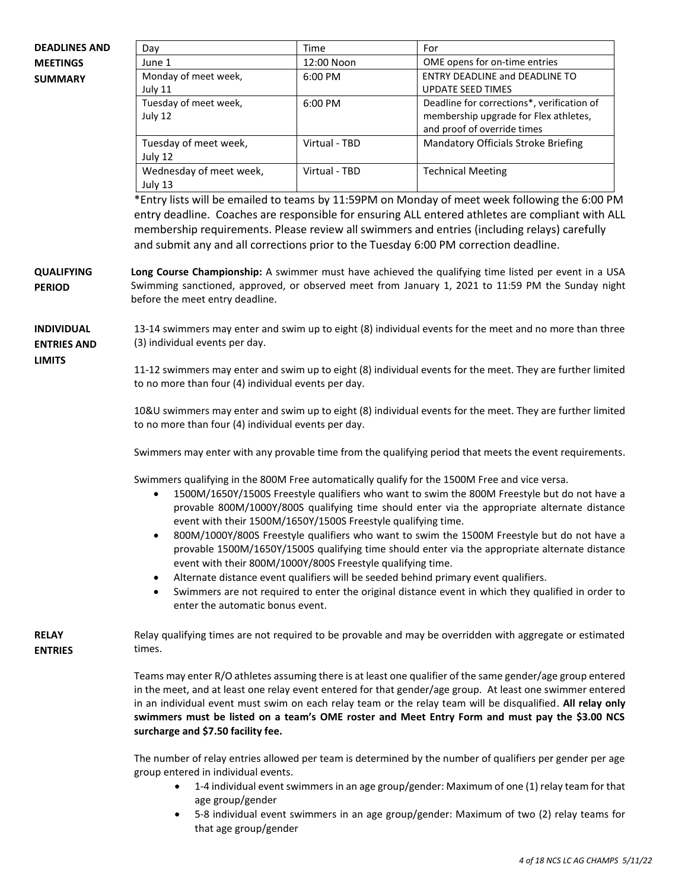| <b>DEADLINES AND</b>                    | Day                                                                                                                                                                                                                                                                                                                                                                                                                                                                                                                                                                                                                                                                                                                                                                                                                                                                | Time                                                                                                       | For                                                                                                                                                                                                                                                                                                                                                                                                                                     |  |  |
|-----------------------------------------|--------------------------------------------------------------------------------------------------------------------------------------------------------------------------------------------------------------------------------------------------------------------------------------------------------------------------------------------------------------------------------------------------------------------------------------------------------------------------------------------------------------------------------------------------------------------------------------------------------------------------------------------------------------------------------------------------------------------------------------------------------------------------------------------------------------------------------------------------------------------|------------------------------------------------------------------------------------------------------------|-----------------------------------------------------------------------------------------------------------------------------------------------------------------------------------------------------------------------------------------------------------------------------------------------------------------------------------------------------------------------------------------------------------------------------------------|--|--|
| <b>MEETINGS</b>                         | June 1                                                                                                                                                                                                                                                                                                                                                                                                                                                                                                                                                                                                                                                                                                                                                                                                                                                             | 12:00 Noon                                                                                                 | OME opens for on-time entries                                                                                                                                                                                                                                                                                                                                                                                                           |  |  |
| <b>SUMMARY</b>                          | Monday of meet week,<br>July 11                                                                                                                                                                                                                                                                                                                                                                                                                                                                                                                                                                                                                                                                                                                                                                                                                                    | 6:00 PM                                                                                                    | <b>ENTRY DEADLINE and DEADLINE TO</b><br><b>UPDATE SEED TIMES</b>                                                                                                                                                                                                                                                                                                                                                                       |  |  |
|                                         | Tuesday of meet week,<br>July 12                                                                                                                                                                                                                                                                                                                                                                                                                                                                                                                                                                                                                                                                                                                                                                                                                                   | 6:00 PM                                                                                                    | Deadline for corrections*, verification of<br>membership upgrade for Flex athletes,<br>and proof of override times                                                                                                                                                                                                                                                                                                                      |  |  |
|                                         | Tuesday of meet week,<br>July 12                                                                                                                                                                                                                                                                                                                                                                                                                                                                                                                                                                                                                                                                                                                                                                                                                                   | Virtual - TBD                                                                                              | Mandatory Officials Stroke Briefing                                                                                                                                                                                                                                                                                                                                                                                                     |  |  |
|                                         | Wednesday of meet week,<br>July 13                                                                                                                                                                                                                                                                                                                                                                                                                                                                                                                                                                                                                                                                                                                                                                                                                                 | Virtual - TBD                                                                                              | <b>Technical Meeting</b>                                                                                                                                                                                                                                                                                                                                                                                                                |  |  |
|                                         |                                                                                                                                                                                                                                                                                                                                                                                                                                                                                                                                                                                                                                                                                                                                                                                                                                                                    |                                                                                                            | *Entry lists will be emailed to teams by 11:59PM on Monday of meet week following the 6:00 PM<br>entry deadline. Coaches are responsible for ensuring ALL entered athletes are compliant with ALL<br>membership requirements. Please review all swimmers and entries (including relays) carefully<br>and submit any and all corrections prior to the Tuesday 6:00 PM correction deadline.                                               |  |  |
| <b>QUALIFYING</b><br><b>PERIOD</b>      | before the meet entry deadline.                                                                                                                                                                                                                                                                                                                                                                                                                                                                                                                                                                                                                                                                                                                                                                                                                                    |                                                                                                            | Long Course Championship: A swimmer must have achieved the qualifying time listed per event in a USA<br>Swimming sanctioned, approved, or observed meet from January 1, 2021 to 11:59 PM the Sunday night                                                                                                                                                                                                                               |  |  |
| <b>INDIVIDUAL</b><br><b>ENTRIES AND</b> | (3) individual events per day.                                                                                                                                                                                                                                                                                                                                                                                                                                                                                                                                                                                                                                                                                                                                                                                                                                     |                                                                                                            | 13-14 swimmers may enter and swim up to eight (8) individual events for the meet and no more than three                                                                                                                                                                                                                                                                                                                                 |  |  |
| <b>LIMITS</b>                           | to no more than four (4) individual events per day.                                                                                                                                                                                                                                                                                                                                                                                                                                                                                                                                                                                                                                                                                                                                                                                                                | 11-12 swimmers may enter and swim up to eight (8) individual events for the meet. They are further limited |                                                                                                                                                                                                                                                                                                                                                                                                                                         |  |  |
|                                         | 10&U swimmers may enter and swim up to eight (8) individual events for the meet. They are further limited<br>to no more than four (4) individual events per day.                                                                                                                                                                                                                                                                                                                                                                                                                                                                                                                                                                                                                                                                                                   |                                                                                                            |                                                                                                                                                                                                                                                                                                                                                                                                                                         |  |  |
|                                         | Swimmers may enter with any provable time from the qualifying period that meets the event requirements.                                                                                                                                                                                                                                                                                                                                                                                                                                                                                                                                                                                                                                                                                                                                                            |                                                                                                            |                                                                                                                                                                                                                                                                                                                                                                                                                                         |  |  |
|                                         | Swimmers qualifying in the 800M Free automatically qualify for the 1500M Free and vice versa.<br>1500M/1650Y/1500S Freestyle qualifiers who want to swim the 800M Freestyle but do not have a<br>$\bullet$<br>provable 800M/1000Y/800S qualifying time should enter via the appropriate alternate distance<br>event with their 1500M/1650Y/1500S Freestyle qualifying time.<br>800M/1000Y/800S Freestyle qualifiers who want to swim the 1500M Freestyle but do not have a<br>provable 1500M/1650Y/1500S qualifying time should enter via the appropriate alternate distance<br>event with their 800M/1000Y/800S Freestyle qualifying time.<br>Alternate distance event qualifiers will be seeded behind primary event qualifiers.<br>$\bullet$<br>Swimmers are not required to enter the original distance event in which they qualified in order to<br>$\bullet$ |                                                                                                            |                                                                                                                                                                                                                                                                                                                                                                                                                                         |  |  |
|                                         | enter the automatic bonus event.                                                                                                                                                                                                                                                                                                                                                                                                                                                                                                                                                                                                                                                                                                                                                                                                                                   |                                                                                                            |                                                                                                                                                                                                                                                                                                                                                                                                                                         |  |  |
| <b>RELAY</b><br><b>ENTRIES</b>          | Relay qualifying times are not required to be provable and may be overridden with aggregate or estimated<br>times.                                                                                                                                                                                                                                                                                                                                                                                                                                                                                                                                                                                                                                                                                                                                                 |                                                                                                            |                                                                                                                                                                                                                                                                                                                                                                                                                                         |  |  |
|                                         | surcharge and \$7.50 facility fee.                                                                                                                                                                                                                                                                                                                                                                                                                                                                                                                                                                                                                                                                                                                                                                                                                                 |                                                                                                            | Teams may enter R/O athletes assuming there is at least one qualifier of the same gender/age group entered<br>in the meet, and at least one relay event entered for that gender/age group. At least one swimmer entered<br>in an individual event must swim on each relay team or the relay team will be disqualified. All relay only<br>swimmers must be listed on a team's OME roster and Meet Entry Form and must pay the \$3.00 NCS |  |  |
|                                         | The number of relay entries allowed per team is determined by the number of qualifiers per gender per age<br>group entered in individual events.                                                                                                                                                                                                                                                                                                                                                                                                                                                                                                                                                                                                                                                                                                                   |                                                                                                            |                                                                                                                                                                                                                                                                                                                                                                                                                                         |  |  |
|                                         | ٠<br>age group/gender                                                                                                                                                                                                                                                                                                                                                                                                                                                                                                                                                                                                                                                                                                                                                                                                                                              |                                                                                                            | 1-4 individual event swimmers in an age group/gender: Maximum of one (1) relay team for that                                                                                                                                                                                                                                                                                                                                            |  |  |

• 5-8 individual event swimmers in an age group/gender: Maximum of two (2) relay teams for that age group/gender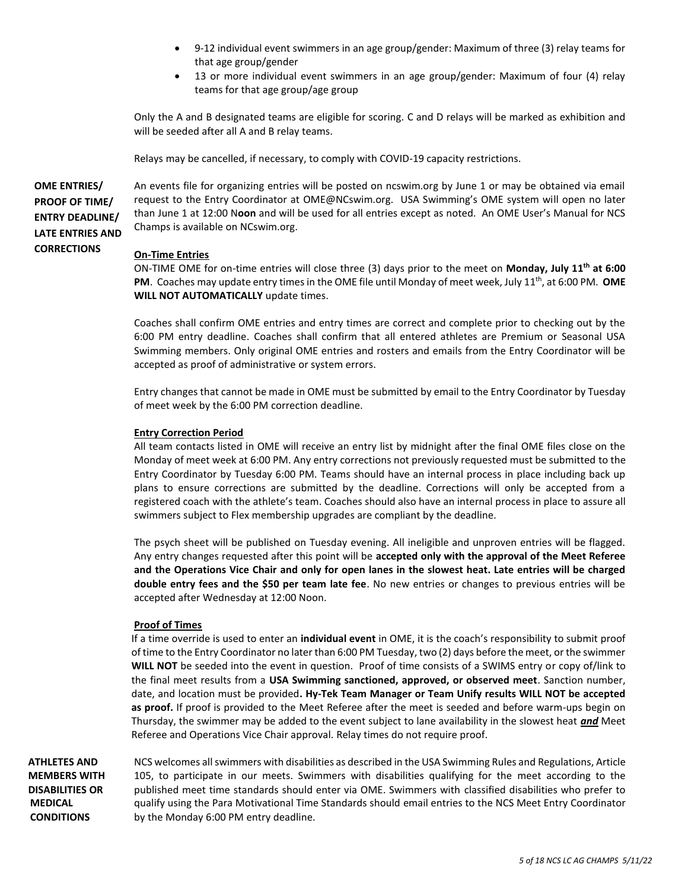- 9-12 individual event swimmers in an age group/gender: Maximum of three (3) relay teams for that age group/gender
- 13 or more individual event swimmers in an age group/gender: Maximum of four (4) relay teams for that age group/age group

Only the A and B designated teams are eligible for scoring. C and D relays will be marked as exhibition and will be seeded after all A and B relay teams.

Relays may be cancelled, if necessary, to comply with COVID-19 capacity restrictions.

**OME ENTRIES/ PROOF OF TIME/ ENTRY DEADLINE/ LATE ENTRIES AND CORRECTIONS**

An events file for organizing entries will be posted on ncswim.org by June 1 or may be obtained via email request to the Entry Coordinator at OME@NCswim.org. USA Swimming's OME system will open no later than June 1 at 12:00 N**oon** and will be used for all entries except as noted. An OME User's Manual for NCS Champs is available on NCswim.org.

### **On-Time Entries**

ON-TIME OME for on-time entries will close three (3) days prior to the meet on **Monday, July 11 th at 6:00**  PM. Coaches may update entry times in the OME file until Monday of meet week, July 11<sup>th</sup>, at 6:00 PM. OME **WILL NOT AUTOMATICALLY** update times.

Coaches shall confirm OME entries and entry times are correct and complete prior to checking out by the 6:00 PM entry deadline. Coaches shall confirm that all entered athletes are Premium or Seasonal USA Swimming members. Only original OME entries and rosters and emails from the Entry Coordinator will be accepted as proof of administrative or system errors.

Entry changes that cannot be made in OME must be submitted by email to the Entry Coordinator by Tuesday of meet week by the 6:00 PM correction deadline.

#### **Entry Correction Period**

All team contacts listed in OME will receive an entry list by midnight after the final OME files close on the Monday of meet week at 6:00 PM. Any entry corrections not previously requested must be submitted to the Entry Coordinator by Tuesday 6:00 PM. Teams should have an internal process in place including back up plans to ensure corrections are submitted by the deadline. Corrections will only be accepted from a registered coach with the athlete's team. Coaches should also have an internal process in place to assure all swimmers subject to Flex membership upgrades are compliant by the deadline.

The psych sheet will be published on Tuesday evening. All ineligible and unproven entries will be flagged. Any entry changes requested after this point will be **accepted only with the approval of the Meet Referee and the Operations Vice Chair and only for open lanes in the slowest heat. Late entries will be charged double entry fees and the \$50 per team late fee**. No new entries or changes to previous entries will be accepted after Wednesday at 12:00 Noon.

#### **Proof of Times**

If a time override is used to enter an **individual event** in OME, it is the coach's responsibility to submit proof of time to the Entry Coordinator no later than 6:00 PM Tuesday, two (2) days before the meet, or the swimmer **WILL NOT** be seeded into the event in question. Proof of time consists of a SWIMS entry or copy of/link to the final meet results from a **USA Swimming sanctioned, approved, or observed meet**. Sanction number, date, and location must be provided**. Hy-Tek Team Manager or Team Unify results WILL NOT be accepted as proof.** If proof is provided to the Meet Referee after the meet is seeded and before warm-ups begin on Thursday, the swimmer may be added to the event subject to lane availability in the slowest heat *and* Meet Referee and Operations Vice Chair approval. Relay times do not require proof.

**ATHLETES AND MEMBERS WITH DISABILITIES OR MEDICAL CONDITIONS**

NCS welcomes all swimmers with disabilities as described in the USA Swimming Rules and Regulations, Article 105, to participate in our meets. Swimmers with disabilities qualifying for the meet according to the published meet time standards should enter via OME. Swimmers with classified disabilities who prefer to qualify using the Para Motivational Time Standards should email entries to the NCS Meet Entry Coordinator by the Monday 6:00 PM entry deadline.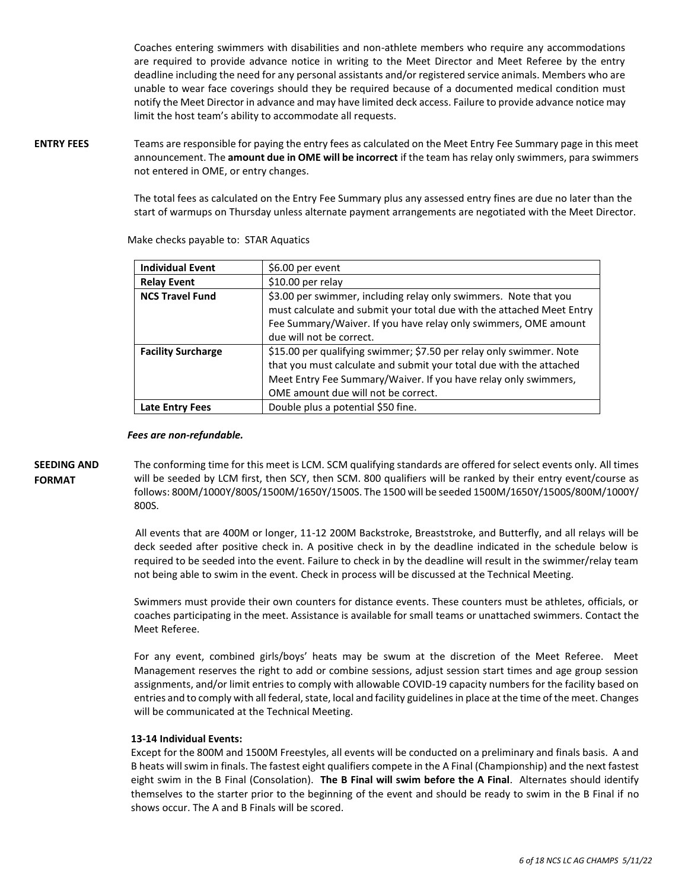Coaches entering swimmers with disabilities and non-athlete members who require any accommodations are required to provide advance notice in writing to the Meet Director and Meet Referee by the entry deadline including the need for any personal assistants and/or registered service animals. Members who are unable to wear face coverings should they be required because of a documented medical condition must notify the Meet Director in advance and may have limited deck access. Failure to provide advance notice may limit the host team's ability to accommodate all requests.

**ENTRY FEES** Teams are responsible for paying the entry fees as calculated on the Meet Entry Fee Summary page in this meet announcement. The **amount due in OME will be incorrect** if the team has relay only swimmers, para swimmers not entered in OME, or entry changes.

> The total fees as calculated on the Entry Fee Summary plus any assessed entry fines are due no later than the start of warmups on Thursday unless alternate payment arrangements are negotiated with the Meet Director.

| <b>Individual Event</b>   | \$6.00 per event                                                      |
|---------------------------|-----------------------------------------------------------------------|
| <b>Relay Event</b>        | \$10.00 per relay                                                     |
| <b>NCS Travel Fund</b>    | \$3.00 per swimmer, including relay only swimmers. Note that you      |
|                           | must calculate and submit your total due with the attached Meet Entry |
|                           | Fee Summary/Waiver. If you have relay only swimmers, OME amount       |
|                           | due will not be correct.                                              |
| <b>Facility Surcharge</b> | \$15.00 per qualifying swimmer; \$7.50 per relay only swimmer. Note   |
|                           | that you must calculate and submit your total due with the attached   |
|                           | Meet Entry Fee Summary/Waiver. If you have relay only swimmers,       |
|                           | OME amount due will not be correct.                                   |
| <b>Late Entry Fees</b>    | Double plus a potential \$50 fine.                                    |

Make checks payable to: STAR Aquatics

#### *Fees are non-refundable.*

**SEEDING AND FORMAT**  The conforming time for this meet is LCM. SCM qualifying standards are offered for select events only. All times will be seeded by LCM first, then SCY, then SCM. 800 qualifiers will be ranked by their entry event/course as follows: 800M/1000Y/800S/1500M/1650Y/1500S. The 1500 will be seeded 1500M/1650Y/1500S/800M/1000Y/ 800S.

> All events that are 400M or longer, 11-12 200M Backstroke, Breaststroke, and Butterfly, and all relays will be deck seeded after positive check in. A positive check in by the deadline indicated in the schedule below is required to be seeded into the event. Failure to check in by the deadline will result in the swimmer/relay team not being able to swim in the event. Check in process will be discussed at the Technical Meeting.

> Swimmers must provide their own counters for distance events. These counters must be athletes, officials, or coaches participating in the meet. Assistance is available for small teams or unattached swimmers. Contact the Meet Referee.

> For any event, combined girls/boys' heats may be swum at the discretion of the Meet Referee. Meet Management reserves the right to add or combine sessions, adjust session start times and age group session assignments, and/or limit entries to comply with allowable COVID-19 capacity numbers for the facility based on entries and to comply with all federal, state, local and facility guidelines in place at the time of the meet. Changes will be communicated at the Technical Meeting.

### **13-14 Individual Events:**

Except for the 800M and 1500M Freestyles, all events will be conducted on a preliminary and finals basis. A and B heats will swim in finals. The fastest eight qualifiers compete in the A Final (Championship) and the next fastest eight swim in the B Final (Consolation). **The B Final will swim before the A Final**. Alternates should identify themselves to the starter prior to the beginning of the event and should be ready to swim in the B Final if no shows occur. The A and B Finals will be scored.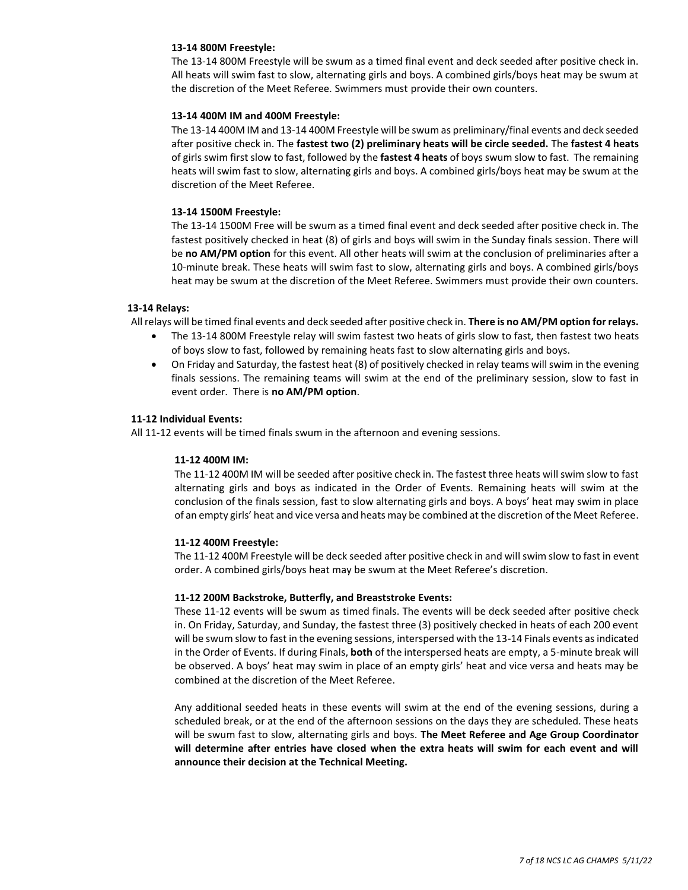#### **13-14 800M Freestyle:**

The 13-14 800M Freestyle will be swum as a timed final event and deck seeded after positive check in. All heats will swim fast to slow, alternating girls and boys. A combined girls/boys heat may be swum at the discretion of the Meet Referee. Swimmers must provide their own counters.

#### **13-14 400M IM and 400M Freestyle:**

The 13-14 400M IM and 13-14 400M Freestyle will be swum as preliminary/final events and deck seeded after positive check in. The **fastest two (2) preliminary heats will be circle seeded.** The **fastest 4 heats** of girls swim first slow to fast, followed by the **fastest 4 heats** of boys swum slow to fast. The remaining heats will swim fast to slow, alternating girls and boys. A combined girls/boys heat may be swum at the discretion of the Meet Referee.

#### **13-14 1500M Freestyle:**

The 13-14 1500M Free will be swum as a timed final event and deck seeded after positive check in. The fastest positively checked in heat (8) of girls and boys will swim in the Sunday finals session. There will be **no AM/PM option** for this event. All other heats will swim at the conclusion of preliminaries after a 10-minute break. These heats will swim fast to slow, alternating girls and boys. A combined girls/boys heat may be swum at the discretion of the Meet Referee. Swimmers must provide their own counters.

#### **13-14 Relays:**

All relays will be timed final events and deck seeded after positive check in. **There is no AM/PM option for relays.**

- The 13-14 800M Freestyle relay will swim fastest two heats of girls slow to fast, then fastest two heats of boys slow to fast, followed by remaining heats fast to slow alternating girls and boys.
- On Friday and Saturday, the fastest heat (8) of positively checked in relay teams will swim in the evening finals sessions. The remaining teams will swim at the end of the preliminary session, slow to fast in event order. There is **no AM/PM option**.

### **11-12 Individual Events:**

All 11-12 events will be timed finals swum in the afternoon and evening sessions.

### **11-12 400M IM:**

The 11-12 400M IM will be seeded after positive check in. The fastest three heats will swim slow to fast alternating girls and boys as indicated in the Order of Events. Remaining heats will swim at the conclusion of the finals session, fast to slow alternating girls and boys. A boys' heat may swim in place of an empty girls' heat and vice versa and heats may be combined at the discretion of the Meet Referee.

#### **11-12 400M Freestyle:**

The 11-12 400M Freestyle will be deck seeded after positive check in and will swim slow to fast in event order. A combined girls/boys heat may be swum at the Meet Referee's discretion.

#### **11-12 200M Backstroke, Butterfly, and Breaststroke Events:**

These 11-12 events will be swum as timed finals. The events will be deck seeded after positive check in. On Friday, Saturday, and Sunday, the fastest three (3) positively checked in heats of each 200 event will be swum slow to fast in the evening sessions, interspersed with the 13-14 Finals events as indicated in the Order of Events. If during Finals, **both** of the interspersed heats are empty, a 5-minute break will be observed. A boys' heat may swim in place of an empty girls' heat and vice versa and heats may be combined at the discretion of the Meet Referee.

Any additional seeded heats in these events will swim at the end of the evening sessions, during a scheduled break, or at the end of the afternoon sessions on the days they are scheduled. These heats will be swum fast to slow, alternating girls and boys. **The Meet Referee and Age Group Coordinator will determine after entries have closed when the extra heats will swim for each event and will announce their decision at the Technical Meeting.**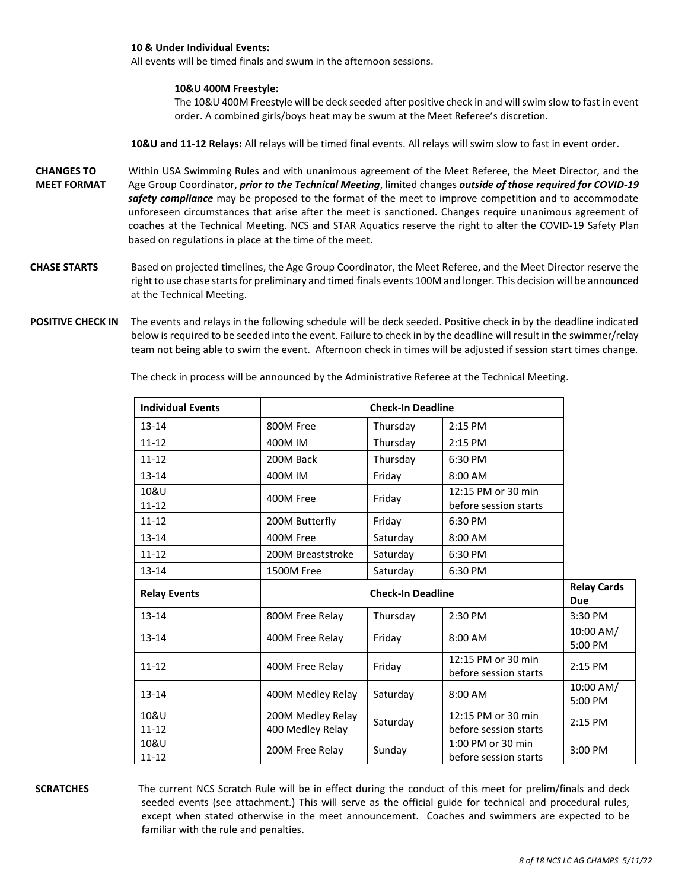#### **10 & Under Individual Events:**

All events will be timed finals and swum in the afternoon sessions.

#### **10&U 400M Freestyle:**

The 10&U 400M Freestyle will be deck seeded after positive check in and will swim slow to fast in event order. A combined girls/boys heat may be swum at the Meet Referee's discretion.

**10&U and 11-12 Relays:** All relays will be timed final events. All relays will swim slow to fast in event order.

- **CHANGES TO MEET FORMAT**  Within USA Swimming Rules and with unanimous agreement of the Meet Referee, the Meet Director, and the Age Group Coordinator, *prior to the Technical Meeting*, limited changes *outside of those required for COVID-19 safety compliance* may be proposed to the format of the meet to improve competition and to accommodate unforeseen circumstances that arise after the meet is sanctioned. Changes require unanimous agreement of coaches at the Technical Meeting. NCS and STAR Aquatics reserve the right to alter the COVID-19 Safety Plan based on regulations in place at the time of the meet.
- **CHASE STARTS** Based on projected timelines, the Age Group Coordinator, the Meet Referee, and the Meet Director reserve the right to use chase starts for preliminary and timed finals events 100M and longer. This decision will be announced at the Technical Meeting.
- **POSITIVE CHECK IN** The events and relays in the following schedule will be deck seeded. Positive check in by the deadline indicated below is required to be seeded into the event. Failure to check in by the deadline will result in the swimmer/relay team not being able to swim the event. Afternoon check in times will be adjusted if session start times change.

| <b>Individual Events</b> | <b>Check-In Deadline</b>              |          |                                             |                                  |
|--------------------------|---------------------------------------|----------|---------------------------------------------|----------------------------------|
| $13 - 14$                | 800M Free<br>Thursday<br>2:15 PM      |          |                                             |                                  |
| $11 - 12$                | 400M IM                               | Thursday | 2:15 PM                                     |                                  |
| $11 - 12$                | 200M Back                             | Thursday | 6:30 PM                                     |                                  |
| $13 - 14$                | 400M IM                               | Friday   | 8:00 AM                                     |                                  |
| 10&U<br>$11 - 12$        | 400M Free                             | Friday   | 12:15 PM or 30 min<br>before session starts |                                  |
| $11 - 12$                | 200M Butterfly                        | Friday   | 6:30 PM                                     |                                  |
| $13 - 14$                | 400M Free                             | Saturday | 8:00 AM                                     |                                  |
| $11 - 12$                | 200M Breaststroke                     | Saturday | 6:30 PM                                     |                                  |
| 13-14                    | 1500M Free                            | Saturday | 6:30 PM                                     |                                  |
|                          | <b>Check-In Deadline</b>              |          |                                             |                                  |
| <b>Relay Events</b>      |                                       |          |                                             | <b>Relay Cards</b><br><b>Due</b> |
| $13 - 14$                | 800M Free Relay                       | Thursday | 2:30 PM                                     | 3:30 PM                          |
| $13 - 14$                | 400M Free Relay                       | Friday   | 8:00 AM                                     | 10:00 AM/<br>5:00 PM             |
| $11 - 12$                | 400M Free Relay                       | Friday   | 12:15 PM or 30 min<br>before session starts | 2:15 PM                          |
| $13 - 14$                | 400M Medley Relay                     | Saturday | 8:00 AM                                     | 10:00 AM/<br>5:00 PM             |
| 10&U<br>$11 - 12$        | 200M Medley Relay<br>400 Medley Relay | Saturday | 12:15 PM or 30 min<br>before session starts | 2:15 PM                          |

The check in process will be announced by the Administrative Referee at the Technical Meeting.

**SCRATCHES** The current NCS Scratch Rule will be in effect during the conduct of this meet for prelim/finals and deck seeded events (see attachment.) This will serve as the official guide for technical and procedural rules, except when stated otherwise in the meet announcement. Coaches and swimmers are expected to be familiar with the rule and penalties.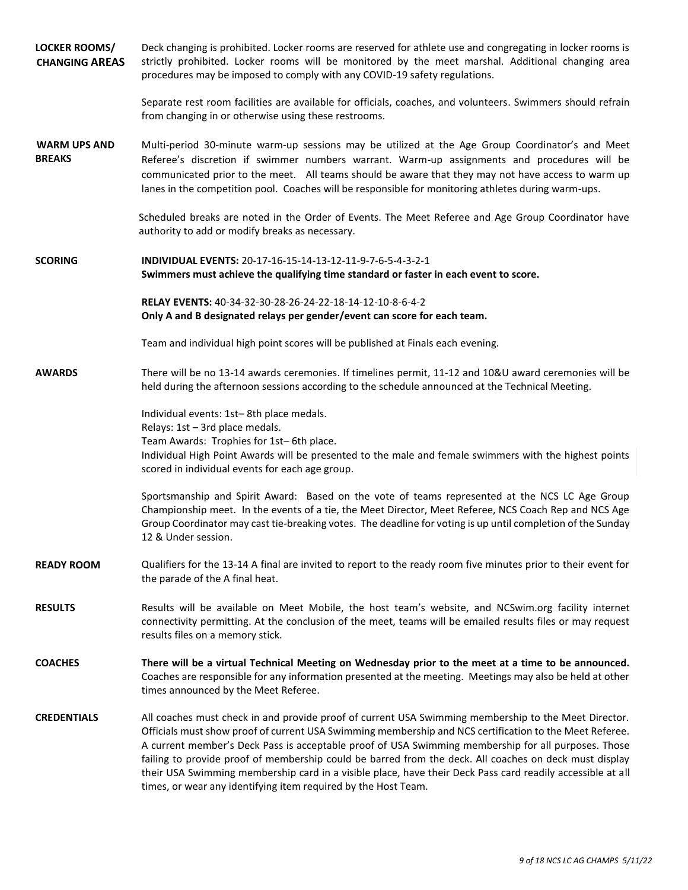| LOCKER ROOMS/<br><b>CHANGING AREAS</b> | Deck changing is prohibited. Locker rooms are reserved for athlete use and congregating in locker rooms is<br>strictly prohibited. Locker rooms will be monitored by the meet marshal. Additional changing area<br>procedures may be imposed to comply with any COVID-19 safety regulations.                                                                                                                                                                                                                                                                                                                     |
|----------------------------------------|------------------------------------------------------------------------------------------------------------------------------------------------------------------------------------------------------------------------------------------------------------------------------------------------------------------------------------------------------------------------------------------------------------------------------------------------------------------------------------------------------------------------------------------------------------------------------------------------------------------|
|                                        | Separate rest room facilities are available for officials, coaches, and volunteers. Swimmers should refrain<br>from changing in or otherwise using these restrooms.                                                                                                                                                                                                                                                                                                                                                                                                                                              |
| <b>WARM UPS AND</b><br><b>BREAKS</b>   | Multi-period 30-minute warm-up sessions may be utilized at the Age Group Coordinator's and Meet<br>Referee's discretion if swimmer numbers warrant. Warm-up assignments and procedures will be<br>communicated prior to the meet. All teams should be aware that they may not have access to warm up<br>lanes in the competition pool. Coaches will be responsible for monitoring athletes during warm-ups.                                                                                                                                                                                                      |
|                                        | Scheduled breaks are noted in the Order of Events. The Meet Referee and Age Group Coordinator have<br>authority to add or modify breaks as necessary.                                                                                                                                                                                                                                                                                                                                                                                                                                                            |
| <b>SCORING</b>                         | INDIVIDUAL EVENTS: 20-17-16-15-14-13-12-11-9-7-6-5-4-3-2-1<br>Swimmers must achieve the qualifying time standard or faster in each event to score.                                                                                                                                                                                                                                                                                                                                                                                                                                                               |
|                                        | RELAY EVENTS: 40-34-32-30-28-26-24-22-18-14-12-10-8-6-4-2<br>Only A and B designated relays per gender/event can score for each team.                                                                                                                                                                                                                                                                                                                                                                                                                                                                            |
|                                        | Team and individual high point scores will be published at Finals each evening.                                                                                                                                                                                                                                                                                                                                                                                                                                                                                                                                  |
| <b>AWARDS</b>                          | There will be no 13-14 awards ceremonies. If timelines permit, 11-12 and 10&U award ceremonies will be<br>held during the afternoon sessions according to the schedule announced at the Technical Meeting.                                                                                                                                                                                                                                                                                                                                                                                                       |
|                                        | Individual events: 1st-8th place medals.<br>Relays: 1st - 3rd place medals.<br>Team Awards: Trophies for 1st-6th place.<br>Individual High Point Awards will be presented to the male and female swimmers with the highest points<br>scored in individual events for each age group.                                                                                                                                                                                                                                                                                                                             |
|                                        | Sportsmanship and Spirit Award: Based on the vote of teams represented at the NCS LC Age Group<br>Championship meet. In the events of a tie, the Meet Director, Meet Referee, NCS Coach Rep and NCS Age<br>Group Coordinator may cast tie-breaking votes. The deadline for voting is up until completion of the Sunday<br>12 & Under session.                                                                                                                                                                                                                                                                    |
| <b>READY ROOM</b>                      | Qualifiers for the 13-14 A final are invited to report to the ready room five minutes prior to their event for<br>the parade of the A final heat.                                                                                                                                                                                                                                                                                                                                                                                                                                                                |
| <b>RESULTS</b>                         | Results will be available on Meet Mobile, the host team's website, and NCSwim.org facility internet<br>connectivity permitting. At the conclusion of the meet, teams will be emailed results files or may request<br>results files on a memory stick.                                                                                                                                                                                                                                                                                                                                                            |
| <b>COACHES</b>                         | There will be a virtual Technical Meeting on Wednesday prior to the meet at a time to be announced.<br>Coaches are responsible for any information presented at the meeting. Meetings may also be held at other<br>times announced by the Meet Referee.                                                                                                                                                                                                                                                                                                                                                          |
| <b>CREDENTIALS</b>                     | All coaches must check in and provide proof of current USA Swimming membership to the Meet Director.<br>Officials must show proof of current USA Swimming membership and NCS certification to the Meet Referee.<br>A current member's Deck Pass is acceptable proof of USA Swimming membership for all purposes. Those<br>failing to provide proof of membership could be barred from the deck. All coaches on deck must display<br>their USA Swimming membership card in a visible place, have their Deck Pass card readily accessible at all<br>times, or wear any identifying item required by the Host Team. |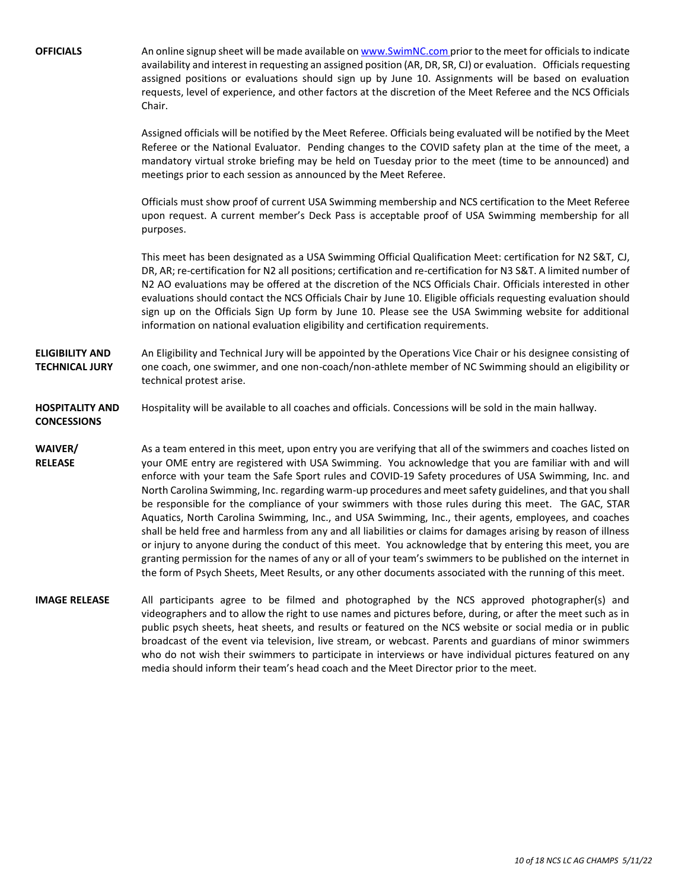**OFFICIALS** An online signup sheet will be made available o[n www.SwimNC.com](http://www.swimnc.com/) prior to the meet for officials to indicate availability and interest in requesting an assigned position (AR, DR, SR, CJ) or evaluation. Officials requesting assigned positions or evaluations should sign up by June 10. Assignments will be based on evaluation requests, level of experience, and other factors at the discretion of the Meet Referee and the NCS Officials Chair. Assigned officials will be notified by the Meet Referee. Officials being evaluated will be notified by the Meet Referee or the National Evaluator. Pending changes to the COVID safety plan at the time of the meet, a mandatory virtual stroke briefing may be held on Tuesday prior to the meet (time to be announced) and meetings prior to each session as announced by the Meet Referee. Officials must show proof of current USA Swimming membership and NCS certification to the Meet Referee upon request. A current member's Deck Pass is acceptable proof of USA Swimming membership for all purposes. This meet has been designated as a USA Swimming Official Qualification Meet: certification for N2 S&T, CJ, DR, AR; re-certification for N2 all positions; certification and re-certification for N3 S&T. A limited number of N2 AO evaluations may be offered at the discretion of the NCS Officials Chair. Officials interested in other evaluations should contact the NCS Officials Chair by June 10. Eligible officials requesting evaluation should sign up on the Officials Sign Up form by June 10. Please see the USA Swimming website for additional information on national evaluation eligibility and certification requirements. **ELIGIBILITY AND TECHNICAL JURY** An Eligibility and Technical Jury will be appointed by the Operations Vice Chair or his designee consisting of one coach, one swimmer, and one non-coach/non-athlete member of NC Swimming should an eligibility or technical protest arise. **HOSPITALITY AND CONCESSIONS** Hospitality will be available to all coaches and officials. Concessions will be sold in the main hallway. **WAIVER/ RELEASE** As a team entered in this meet, upon entry you are verifying that all of the swimmers and coaches listed on your OME entry are registered with USA Swimming. You acknowledge that you are familiar with and will enforce with your team the Safe Sport rules and COVID-19 Safety procedures of USA Swimming, Inc. and North Carolina Swimming, Inc. regarding warm-up procedures and meet safety guidelines, and that you shall be responsible for the compliance of your swimmers with those rules during this meet. The GAC, STAR Aquatics, North Carolina Swimming, Inc., and USA Swimming, Inc., their agents, employees, and coaches shall be held free and harmless from any and all liabilities or claims for damages arising by reason of illness or injury to anyone during the conduct of this meet. You acknowledge that by entering this meet, you are granting permission for the names of any or all of your team's swimmers to be published on the internet in the form of Psych Sheets, Meet Results, or any other documents associated with the running of this meet. **IMAGE RELEASE** All participants agree to be filmed and photographed by the NCS approved photographer(s) and videographers and to allow the right to use names and pictures before, during, or after the meet such as in public psych sheets, heat sheets, and results or featured on the NCS website or social media or in public broadcast of the event via television, live stream, or webcast. Parents and guardians of minor swimmers who do not wish their swimmers to participate in interviews or have individual pictures featured on any media should inform their team's head coach and the Meet Director prior to the meet.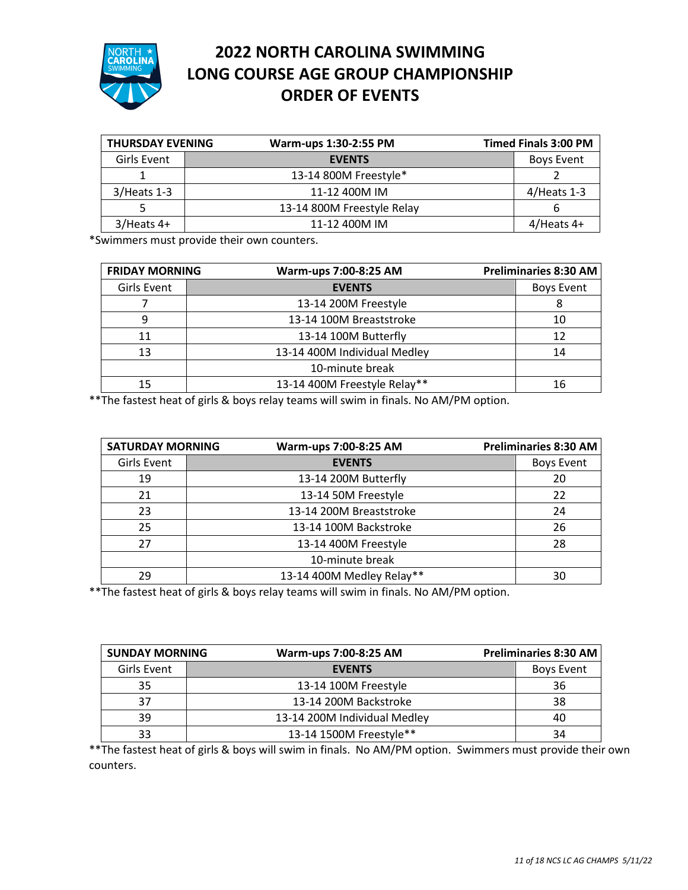

## **2022 NORTH CAROLINA SWIMMING LONG COURSE AGE GROUP CHAMPIONSHIP ORDER OF EVENTS**

| <b>THURSDAY EVENING</b> | Warm-ups 1:30-2:55 PM      | <b>Timed Finals 3:00 PM</b> |
|-------------------------|----------------------------|-----------------------------|
| Girls Event             | <b>EVENTS</b>              | <b>Boys Event</b>           |
|                         | 13-14 800M Freestyle*      |                             |
| $3/$ Heats 1-3          | 11-12 400M IM              | $4/$ Heats 1-3              |
|                         | 13-14 800M Freestyle Relay |                             |
| $3/$ Heats 4+           | 11-12 400M IM              | $4$ /Heats 4+               |

\*Swimmers must provide their own counters.

| <b>FRIDAY MORNING</b> | Warm-ups 7:00-8:25 AM        | <b>Preliminaries 8:30 AM</b> |
|-----------------------|------------------------------|------------------------------|
| <b>Girls Event</b>    | <b>EVENTS</b>                |                              |
|                       | 13-14 200M Freestyle         |                              |
| 9                     | 13-14 100M Breaststroke      | 10                           |
| 11                    | 13-14 100M Butterfly         | 12                           |
| 13                    | 13-14 400M Individual Medley | 14                           |
|                       | 10-minute break              |                              |
| 15                    | 13-14 400M Freestyle Relay** | 16                           |

\*\*The fastest heat of girls & boys relay teams will swim in finals. No AM/PM option.

| <b>SATURDAY MORNING</b> |  | Warm-ups 7:00-8:25 AM     | <b>Preliminaries 8:30 AM</b> |
|-------------------------|--|---------------------------|------------------------------|
| Girls Event             |  | <b>EVENTS</b>             | <b>Boys Event</b>            |
| 19                      |  | 13-14 200M Butterfly      | 20                           |
| 21                      |  | 13-14 50M Freestyle       | 22                           |
| 23                      |  | 13-14 200M Breaststroke   | 24                           |
| 25                      |  | 13-14 100M Backstroke     | 26                           |
| 27                      |  | 13-14 400M Freestyle      | 28                           |
|                         |  | 10-minute break           |                              |
| 29                      |  | 13-14 400M Medley Relay** | 30                           |

\*\*The fastest heat of girls & boys relay teams will swim in finals. No AM/PM option.

| <b>SUNDAY MORNING</b> | Warm-ups 7:00-8:25 AM        | Preliminaries 8:30 AM |
|-----------------------|------------------------------|-----------------------|
| Girls Event           | <b>EVENTS</b>                | Boys Event            |
| 35                    | 13-14 100M Freestyle         | 36                    |
| 37                    | 13-14 200M Backstroke        | 38                    |
| 39                    | 13-14 200M Individual Medley | 40                    |
| 33                    | 13-14 1500M Freestyle**      | 34                    |

\*\*The fastest heat of girls & boys will swim in finals. No AM/PM option. Swimmers must provide their own counters.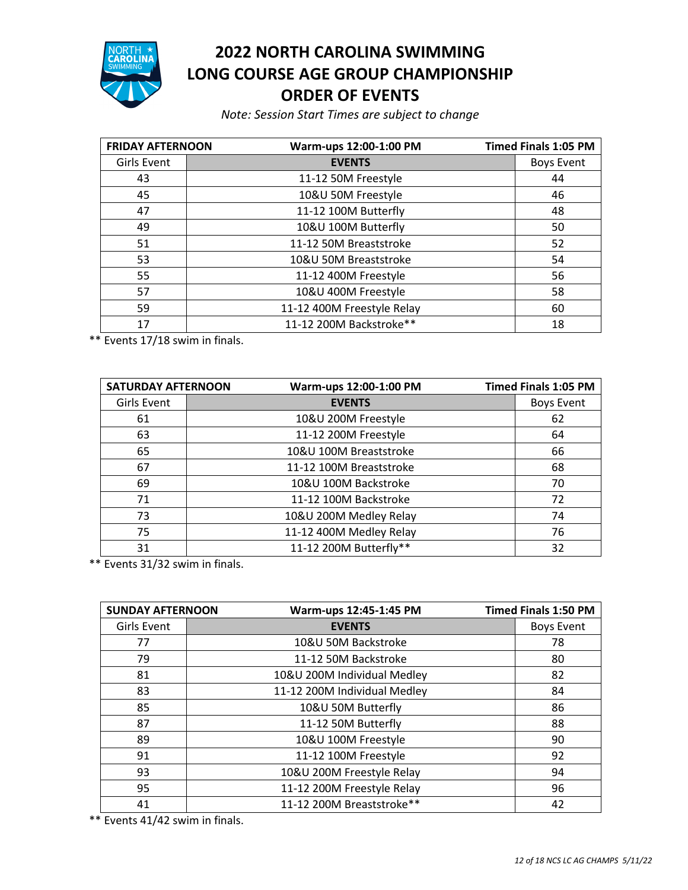

## **NORTH CAROLINA SWIMMING LONG COURSE AGE GROUP CHAMPIONSHIP ORDER OF EVENTS**

*Note: Session Start Times are subject to change*

| <b>FRIDAY AFTERNOON</b> | Warm-ups 12:00-1:00 PM     | <b>Timed Finals 1:05 PM</b> |
|-------------------------|----------------------------|-----------------------------|
| Girls Event             | <b>EVENTS</b>              | <b>Boys Event</b>           |
| 43                      | 11-12 50M Freestyle        | 44                          |
| 45                      | 10&U 50M Freestyle         | 46                          |
| 47                      | 11-12 100M Butterfly       | 48                          |
| 49                      | 10&U 100M Butterfly        | 50                          |
| 51                      | 11-12 50M Breaststroke     | 52                          |
| 53                      | 10&U 50M Breaststroke      | 54                          |
| 55                      | 11-12 400M Freestyle       | 56                          |
| 57                      | 10&U 400M Freestyle        | 58                          |
| 59                      | 11-12 400M Freestyle Relay | 60                          |
| 17                      | 11-12 200M Backstroke**    | 18                          |

\*\* Events 17/18 swim in finals.

| <b>SATURDAY AFTERNOON</b> |  | Warm-ups 12:00-1:00 PM  | <b>Timed Finals 1:05 PM</b> |
|---------------------------|--|-------------------------|-----------------------------|
| Girls Event               |  | <b>EVENTS</b>           | <b>Boys Event</b>           |
| 61                        |  | 10&U 200M Freestyle     | 62                          |
| 63                        |  | 11-12 200M Freestyle    | 64                          |
| 65                        |  | 10&U 100M Breaststroke  | 66                          |
| 67                        |  | 11-12 100M Breaststroke | 68                          |
| 69                        |  | 10&U 100M Backstroke    | 70                          |
| 71                        |  | 11-12 100M Backstroke   | 72                          |
| 73                        |  | 10&U 200M Medley Relay  | 74                          |
| 75                        |  | 11-12 400M Medley Relay | 76                          |
| 31                        |  | 11-12 200M Butterfly**  | 32                          |

\*\* Events 31/32 swim in finals.

| <b>SUNDAY AFTERNOON</b> | Warm-ups 12:45-1:45 PM       | <b>Timed Finals 1:50 PM</b> |
|-------------------------|------------------------------|-----------------------------|
| <b>Girls Event</b>      | <b>EVENTS</b>                | <b>Boys Event</b>           |
| 77                      | 10&U 50M Backstroke          | 78                          |
| 79                      | 11-12 50M Backstroke         | 80                          |
| 81                      | 10&U 200M Individual Medley  | 82                          |
| 83                      | 11-12 200M Individual Medley | 84                          |
| 85                      | 10&U 50M Butterfly           | 86                          |
| 87                      | 11-12 50M Butterfly          | 88                          |
| 89                      | 10&U 100M Freestyle          | 90                          |
| 91                      | 11-12 100M Freestyle         | 92                          |
| 93                      | 10&U 200M Freestyle Relay    | 94                          |
| 95                      | 11-12 200M Freestyle Relay   | 96                          |
| 41                      | 11-12 200M Breaststroke**    | 42                          |

\*\* Events 41/42 swim in finals.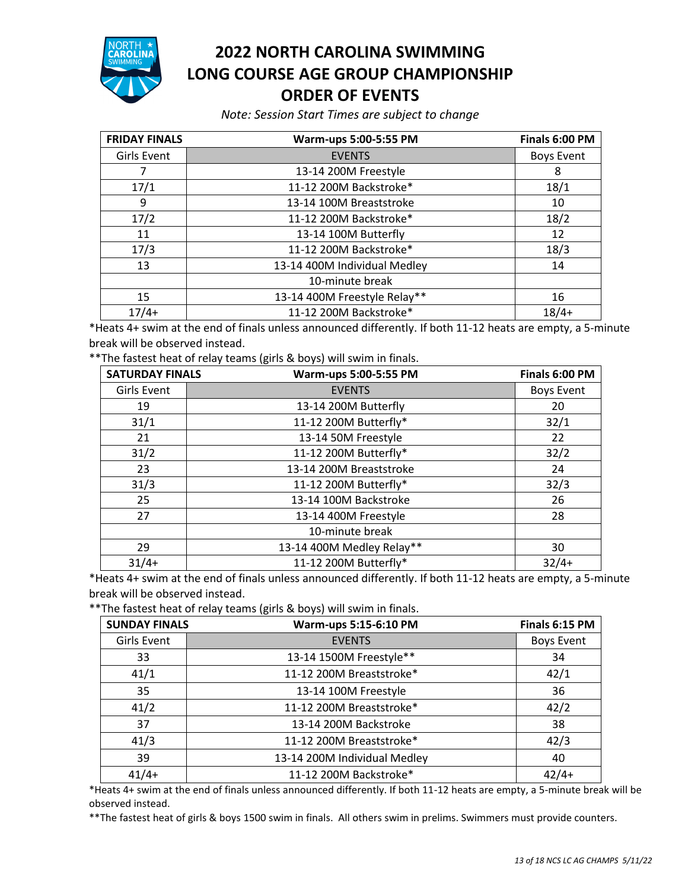

## **2022 NORTH CAROLINA SWIMMING LONG COURSE AGE GROUP CHAMPIONSHIP ORDER OF EVENTS**

*Note: Session Start Times are subject to change*

| <b>FRIDAY FINALS</b> | Warm-ups 5:00-5:55 PM        | Finals 6:00 PM    |
|----------------------|------------------------------|-------------------|
| Girls Event          | <b>EVENTS</b>                | <b>Boys Event</b> |
|                      | 13-14 200M Freestyle         | 8                 |
| 17/1                 | 11-12 200M Backstroke*       | 18/1              |
| 9                    | 13-14 100M Breaststroke      | 10                |
| 17/2                 | 11-12 200M Backstroke*       | 18/2              |
| 11                   | 13-14 100M Butterfly         | 12                |
| 17/3                 | 11-12 200M Backstroke*       | 18/3              |
| 13                   | 13-14 400M Individual Medley | 14                |
|                      | 10-minute break              |                   |
| 15                   | 13-14 400M Freestyle Relay** | 16                |
| $17/4+$              | 11-12 200M Backstroke*       | $18/4+$           |

\*Heats 4+ swim at the end of finals unless announced differently. If both 11-12 heats are empty, a 5-minute break will be observed instead.

\*\*The fastest heat of relay teams (girls & boys) will swim in finals.

| <b>SATURDAY FINALS</b> | Warm-ups 5:00-5:55 PM     | Finals 6:00 PM    |
|------------------------|---------------------------|-------------------|
| Girls Event            | <b>EVENTS</b>             | <b>Boys Event</b> |
| 19                     | 13-14 200M Butterfly      | 20                |
| 31/1                   | 11-12 200M Butterfly*     | 32/1              |
| 21                     | 13-14 50M Freestyle       | 22                |
| 31/2                   | 11-12 200M Butterfly*     | 32/2              |
| 23                     | 13-14 200M Breaststroke   | 24                |
| 31/3                   | 11-12 200M Butterfly*     | 32/3              |
| 25                     | 13-14 100M Backstroke     | 26                |
| 27                     | 13-14 400M Freestyle      | 28                |
|                        | 10-minute break           |                   |
| 29                     | 13-14 400M Medley Relay** | 30                |
| $31/4+$                | 11-12 200M Butterfly*     | $32/4+$           |

\*Heats 4+ swim at the end of finals unless announced differently. If both 11-12 heats are empty, a 5-minute break will be observed instead.

\*\*The fastest heat of relay teams (girls & boys) will swim in finals.

| <b>SUNDAY FINALS</b> | Warm-ups 5:15-6:10 PM        | Finals 6:15 PM    |
|----------------------|------------------------------|-------------------|
| Girls Event          | <b>EVENTS</b>                | <b>Boys Event</b> |
| 33                   | 13-14 1500M Freestyle**      | 34                |
| 41/1                 | 11-12 200M Breaststroke*     | 42/1              |
| 35                   | 13-14 100M Freestyle         | 36                |
| 41/2                 | 11-12 200M Breaststroke*     | 42/2              |
| 37                   | 13-14 200M Backstroke        | 38                |
| 41/3                 | 11-12 200M Breaststroke*     | 42/3              |
| 39                   | 13-14 200M Individual Medley | 40                |
| $41/4+$              | 11-12 200M Backstroke*       | $42/4+$           |

\*Heats 4+ swim at the end of finals unless announced differently. If both 11-12 heats are empty, a 5-minute break will be observed instead.

\*\*The fastest heat of girls & boys 1500 swim in finals. All others swim in prelims. Swimmers must provide counters.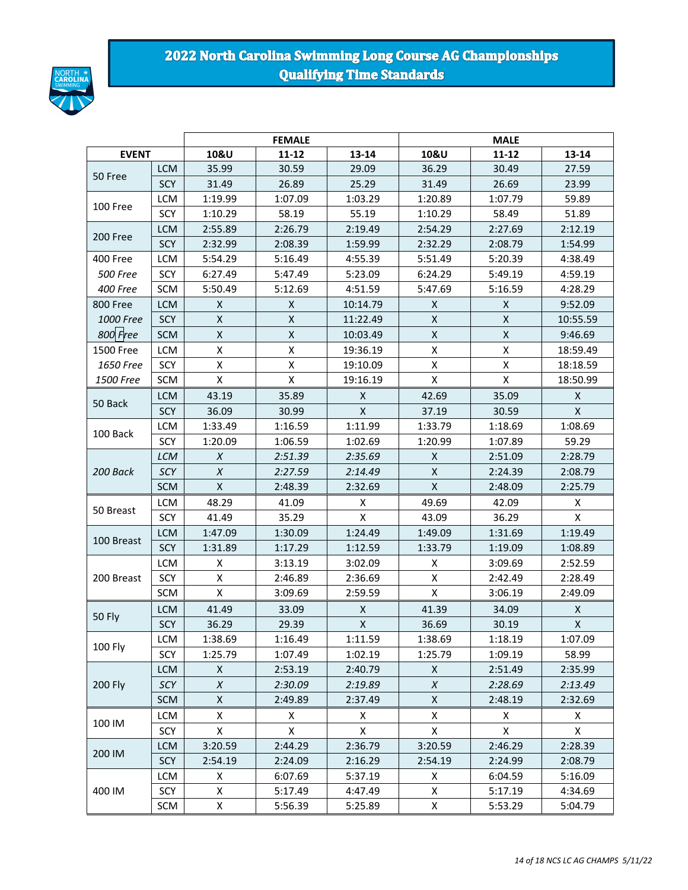

### 2022 North Carolina Swimming Long Course AG Championships **Qualifying Time Standards**

|                 |            |                  | <b>FEMALE</b>      |              | <b>MALE</b> |           |                    |  |
|-----------------|------------|------------------|--------------------|--------------|-------------|-----------|--------------------|--|
| <b>EVENT</b>    |            | 10&U             | $11 - 12$          | $13 - 14$    | 10&U        | $11 - 12$ | 13-14              |  |
| 50 Free         | <b>LCM</b> | 35.99            | 30.59              | 29.09        | 36.29       | 30.49     | 27.59              |  |
|                 | SCY        | 31.49            | 26.89              | 25.29        | 31.49       | 26.69     | 23.99              |  |
| 100 Free        | <b>LCM</b> | 1:19.99          | 1:07.09            | 1:03.29      | 1:20.89     | 1:07.79   | 59.89              |  |
|                 | SCY        | 1:10.29          | 58.19              | 55.19        | 1:10.29     | 58.49     | 51.89              |  |
| 200 Free        | <b>LCM</b> | 2:55.89          | 2:26.79            | 2:19.49      | 2:54.29     | 2:27.69   | 2:12.19            |  |
|                 | SCY        | 2:32.99          | 2:08.39            | 1:59.99      | 2:32.29     | 2:08.79   | 1:54.99            |  |
| 400 Free        | <b>LCM</b> | 5:54.29          | 5:16.49            | 4:55.39      | 5:51.49     | 5:20.39   | 4:38.49            |  |
| <b>500 Free</b> | SCY        | 6:27.49          | 5:47.49            | 5:23.09      | 6:24.29     | 5:49.19   | 4:59.19            |  |
| <b>400 Free</b> | SCM        | 5:50.49          | 5:12.69            | 4:51.59      | 5:47.69     | 5:16.59   | 4:28.29            |  |
| 800 Free        | <b>LCM</b> | X                | X                  | 10:14.79     | X           | X         | 9:52.09            |  |
| 1000 Free       | SCY        | $\mathsf X$      | $\pmb{\mathsf{X}}$ | 11:22.49     | Χ           | X         | 10:55.59           |  |
| 800 Free        | <b>SCM</b> | X                | $\pmb{\mathsf{X}}$ | 10:03.49     | X           | X         | 9:46.69            |  |
| 1500 Free       | <b>LCM</b> | X                | $\pmb{\mathsf{X}}$ | 19:36.19     | Χ           | Χ         | 18:59.49           |  |
| 1650 Free       | SCY        | X                | X                  | 19:10.09     | Χ           | Χ         | 18:18.59           |  |
| 1500 Free       | SCM        | X                | $\pmb{\mathsf{X}}$ | 19:16.19     | X           | X         | 18:50.99           |  |
|                 | <b>LCM</b> | 43.19            | 35.89              | X            | 42.69       | 35.09     | X                  |  |
| 50 Back         | SCY        | 36.09            | 30.99              | $\mathsf{X}$ | 37.19       | 30.59     | X                  |  |
|                 | <b>LCM</b> | 1:33.49          | 1:16.59            | 1:11.99      | 1:33.79     | 1:18.69   | 1:08.69            |  |
| 100 Back        | SCY        | 1:20.09          | 1:06.59            | 1:02.69      | 1:20.99     | 1:07.89   | 59.29              |  |
|                 | <b>LCM</b> | $\chi$           | 2:51.39            | 2:35.69      | X           | 2:51.09   | 2:28.79            |  |
| 200 Back        | SCY        | $\boldsymbol{X}$ | 2:27.59            | 2:14.49      | Χ           | 2:24.39   | 2:08.79            |  |
|                 | <b>SCM</b> | X                | 2:48.39            | 2:32.69      | Χ           | 2:48.09   | 2:25.79            |  |
|                 | <b>LCM</b> | 48.29            | 41.09              | Χ            | 49.69       | 42.09     | X                  |  |
| 50 Breast       | SCY        | 41.49            | 35.29              | X            | 43.09       | 36.29     | Χ                  |  |
|                 | <b>LCM</b> | 1:47.09          | 1:30.09            | 1:24.49      | 1:49.09     | 1:31.69   | 1:19.49            |  |
| 100 Breast      | SCY        | 1:31.89          | 1:17.29            | 1:12.59      | 1:33.79     | 1:19.09   | 1:08.89            |  |
|                 | <b>LCM</b> | X                | 3:13.19            | 3:02.09      | X           | 3:09.69   | 2:52.59            |  |
| 200 Breast      | SCY        | X                | 2:46.89            | 2:36.69      | Χ           | 2:42.49   | 2:28.49            |  |
|                 | SCM        | X                | 3:09.69            | 2:59.59      | Χ           | 3:06.19   | 2:49.09            |  |
|                 | <b>LCM</b> | 41.49            | 33.09              | X            | 41.39       | 34.09     | $\pmb{\mathsf{X}}$ |  |
| <b>50 Fly</b>   | <b>SCY</b> | 36.29            | 29.39              | X            | 36.69       | 30.19     | X                  |  |
|                 | LCM        | 1:38.69          | 1:16.49            | 1:11.59      | 1:38.69     | 1:18.19   | 1:07.09            |  |
| 100 Fly         | SCY        | 1:25.79          | 1:07.49            | 1:02.19      | 1:25.79     | 1:09.19   | 58.99              |  |
|                 | <b>LCM</b> | X                | 2:53.19            | 2:40.79      | X           | 2:51.49   | 2:35.99            |  |
| 200 Fly         | SCY        | X                | 2:30.09            | 2:19.89      | X           | 2:28.69   | 2:13.49            |  |
|                 | SCM        | X                | 2:49.89            | 2:37.49      | Χ           | 2:48.19   | 2:32.69            |  |
|                 | LCM        | X                | X                  | X            | X           | X         | X                  |  |
| 100 IM          | SCY        | X                | X                  | X            | X           | X         | X                  |  |
|                 | <b>LCM</b> | 3:20.59          | 2:44.29            | 2:36.79      | 3:20.59     | 2:46.29   | 2:28.39            |  |
| 200 IM          | SCY        | 2:54.19          | 2:24.09            | 2:16.29      | 2:54.19     | 2:24.99   | 2:08.79            |  |
|                 | LCM        | X                | 6:07.69            | 5:37.19      | X           | 6:04.59   | 5:16.09            |  |
| 400 IM          | SCY        | x                | 5:17.49            | 4:47.49      | x           | 5:17.19   | 4:34.69            |  |
|                 | SCM        | Χ                | 5:56.39            | 5:25.89      | x           | 5:53.29   | 5:04.79            |  |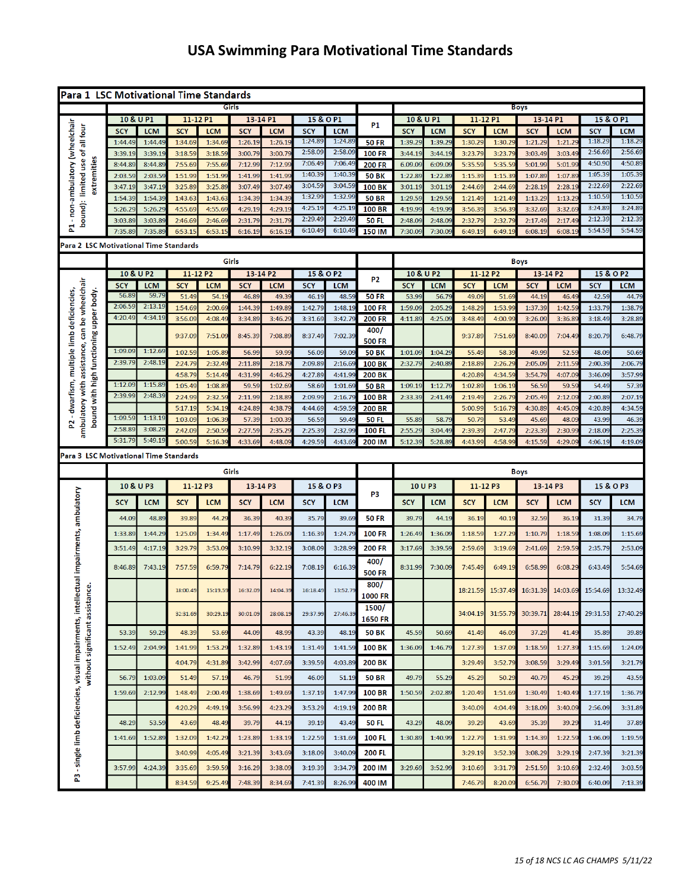# **USA Swimming Para Motivational Time Standards**

|                                                                                                                                     |                         |                    | Para 1 LSC Motivational Time Standards |                   |                     |                     |                         |                     |                               |                    |                    |                        |                  |                        |                     |                         |                     |
|-------------------------------------------------------------------------------------------------------------------------------------|-------------------------|--------------------|----------------------------------------|-------------------|---------------------|---------------------|-------------------------|---------------------|-------------------------------|--------------------|--------------------|------------------------|------------------|------------------------|---------------------|-------------------------|---------------------|
|                                                                                                                                     | Girls                   |                    |                                        |                   |                     |                     |                         |                     |                               |                    |                    | <b>Boys</b>            |                  |                        |                     |                         |                     |
|                                                                                                                                     | 10 & U P1               |                    | 11-12 P1                               |                   | 13-14 P1            |                     | 15 & O P1               |                     | <b>P1</b>                     | 10 & U P1          |                    | 11-12 P1               |                  | 13-14 P1               |                     | 15 & O P1               |                     |
| - non-ambulatory (wheelchair<br>bound): limited use of all four                                                                     | <b>SCY</b>              | <b>LCM</b>         | <b>SCY</b>                             | <b>LCM</b>        | <b>SCY</b>          | <b>LCM</b>          | <b>SCY</b>              | <b>LCM</b>          |                               | <b>SCY</b>         | <b>LCM</b>         | <b>SCY</b>             | <b>LCM</b>       | <b>SCY</b>             | <b>LCM</b>          | <b>SCY</b>              | <b>LCM</b>          |
|                                                                                                                                     | 1:44.49                 | 1:44.49            | 1:34.69                                | 1:34.6            | 1:26.19             | 1:26.1              | 1:24.89<br>2:58.09      | 1:24.89<br>2:58.09  | <b>50 FR</b>                  | 1:39.29            | 1:39.29            | 1:30.29                | 1:30.2           | 1:21.29                | 1:21.29             | 1:18.29<br>2:56.69      | 1:18.29<br>2:56.69  |
|                                                                                                                                     | 3:39.19                 | 3:39.19            | 3:18.59                                | 3:18.59           | 3:00.79             | 3:00.79             | 7:06.49                 | 7:06.49             | <b>100 FR</b>                 | 3:44.19            | 3:44.19            | 3:23.79                | 3:23.7           | 3:03.49                | 3:03.49             | 4:50.90                 | 4:50.89             |
| extremities                                                                                                                         | 8:44.89<br>2:03.59      | 8:44.89<br>2:03.59 | 7:55.69<br>1:51.99                     | 7:55.69<br>1:51.9 | 7:12.99<br>1:41.99  | 7:12.99<br>1:41.99  | 1:40.39                 | 1:40.39             | <b>200 FR</b><br><b>50 BK</b> | 6.09.09<br>1:22.89 | 6:09.09<br>1:22.89 | 5:35.59<br>1:15.39     | 5:35.5<br>1:15.3 | 5:01.99<br>1:07.89     | 5:01.9<br>1:07.8    | 1:05.39                 | 1:05.39             |
|                                                                                                                                     | 3:47.19                 | 3:47.19            | 3:25.89                                | 3:25.89           | 3:07.49             | 3:07.49             | 3:04.59                 | 3:04.59             | <b>100 BK</b>                 | 3:01.19            | 3:01.19            | 2:44.69                | 2:44.69          | 2:28.19                | 2:28.1              | 2:22.69                 | 2:22.69             |
|                                                                                                                                     | 1:54.39                 | 1:54.39            | 1:43.63                                | 1:43.63           | 1:34.39             | 1:34.39             | 1:32.99                 | 1:32.99             | <b>50 BR</b>                  | 1:29.59            | 1:29.59            | 1:21.49                | 1:21.49          | 1:13.29                | 1:13.29             | 1:10.59                 | 1:10.59             |
|                                                                                                                                     | 5:26.29                 | 5:26.29            | 4:55.69                                | 4:55.69           | 4:29.19             | 4:29.1              | 4:25.19                 | 4:25.19             | <b>100 BR</b>                 | 4:19.99            | 4:19.99            | 3:56.39                | 3:56.39          | 3:32.69                | 3:32.69             | 3:24.89                 | 3:24.89             |
|                                                                                                                                     | 3:03.89                 | 3:03.89            | 2:46.69                                | 2:46.69           | 2:31.7              | 2:31.7              | 2:29.49                 | 2:29.49             | <b>50 FL</b>                  | 2:48.09            | 2:48.0             | 2:32.79                | 2:32.7           | 2:17.49                | 2:17.4              | 2:12.39                 | 2:12.39             |
| 甚                                                                                                                                   | 7:35.89                 | 7:35.89            | 6:53.15                                | 6:53.1            | 6:16.19             | 6:16.1              | 6:10.49                 | 6:10.49             | 150 IM                        | 7:30.09            | 7:30.09            | 6:49.19                | 6:49.1           | 6:08.19                | 6:08.1              | 5:54.59                 | 5:54.59             |
| Para 2 LSC Motivational Time Standards                                                                                              |                         |                    |                                        |                   |                     |                     |                         |                     |                               |                    |                    |                        |                  |                        |                     |                         |                     |
|                                                                                                                                     |                         |                    |                                        |                   |                     |                     |                         |                     |                               |                    |                    |                        |                  |                        |                     |                         |                     |
|                                                                                                                                     |                         |                    |                                        |                   | Girls               |                     |                         |                     |                               |                    |                    |                        |                  | <b>Boys</b>            |                     |                         |                     |
|                                                                                                                                     | 10 & U P2<br><b>SCY</b> | <b>LCM</b>         | 11-12 P2<br><b>SCY</b>                 | <b>LCM</b>        | 13-14 P2            |                     | 15 & O P2<br><b>SCY</b> |                     | P <sub>2</sub>                | <b>SCY</b>         | 10 & U P2          | 11-12 P2<br><b>SCY</b> | <b>LCM</b>       | 13-14 P2<br><b>SCY</b> |                     | 15 & O P2<br><b>SCY</b> |                     |
|                                                                                                                                     | 56.89                   | 59.79              | 51.49                                  | 54.19             | <b>SCY</b><br>46.89 | <b>LCM</b><br>49.39 | 46.19                   | <b>LCM</b><br>48.59 | <b>50 FR</b>                  | 53.99              | <b>LCM</b><br>56.7 | 49.09                  | 51.69            | 44.19                  | <b>LCM</b><br>46.49 | 42.59                   | <b>LCM</b><br>44.79 |
|                                                                                                                                     | 2:06.59                 | 2:13.19            | 1:54.69                                | 2:00.6            | 1:44.3              | 1:49.8              | 1:42.79                 | 1:48.19             | <b>100 FR</b>                 | 1:59.09            | 2:05.29            | 1:48.2                 | 1:53.9           | 1:37.39                | 1:42.5              | 1:33.79                 | 1:38.79             |
| ambulatory with assistance, can be wheelchair<br>- dwarfism, multiple limb deficiencies,<br>bound with high functioning upper body. | 4:20.49                 | 4:34.19            | 3:56.09                                | 4:08.4            | 3:34.89             | 3:46.29             | 3:31.69                 | 3:42.79             | <b>200 FR</b>                 | 4:11.89            | 4:25.09            | 3:48.49                | 4:00.9           | 3:26.09                | 3:36.8              | 3:18.49                 | 3:28.89             |
|                                                                                                                                     |                         |                    |                                        |                   |                     |                     |                         |                     | 400/                          |                    |                    |                        |                  |                        |                     |                         |                     |
|                                                                                                                                     |                         |                    | 9:37.09                                | 7:51.09           | 8:45.39             | 7:08.89             | 8:37.49                 | 7:02.39             | <b>500 FR</b>                 |                    |                    | 9:37.89                | 7:51.69          | 8:40.09                | 7:04.49             | 8:20.79                 | 6:48.79             |
|                                                                                                                                     | 1:09.09                 | 1:12.69            | 1:02.59                                | 1:05.8            | 56.99               | 59.99               | 56.09                   | 59.09               | <b>50 BK</b>                  | 1:01.09            | 1:04.29            | 55.49                  | 58.39            | 49.99                  | 52.5                | 48.09                   | 50.69               |
|                                                                                                                                     | 2:39.79                 | 2:48.19            | 2:24.79                                | 2:32.4            | 2:11.89             | 2:18.7              | 2:09.89                 | 2:16.69             | <b>100 BK</b>                 | 2:32.79            | 2:40.8             | 2:18.89                | 2:26.29          | 2:05.09                | 2:11.5              | 2:00.39                 | 2:06.79             |
|                                                                                                                                     |                         |                    | 4:58.79                                | 5:14.4            | 4:31.99             | 4:46.29             | 4:27.89                 | 4:41.99             | <b>200 BK</b>                 |                    |                    | 4:20.89                | 4:34.59          | 3:54.79                | 4:07.09             | 3:46.09                 | 3:57.99             |
|                                                                                                                                     | 1:12.09                 | 1:15.89            | 1:05.49                                | 1:08.89           | 59.59               | 1:02.69             | 58.69                   | 1:01.69             | <b>50 BR</b>                  | 1:09.19            | 1:12.79            | 1:02.89                | 1:06.19          | 56.59                  | 59.59               | 54.49                   | 57.39               |
|                                                                                                                                     | 2:39.99                 | 2:48.39            | 2:24.99                                | 2:32.5            | 2:11.99             | 2:18.89             | 2:09.99                 | 2:16.79             | <b>100 BR</b>                 | 2:33.39            | 2:41.49            | 2:19.49                | 2:26.79          | 2:05.49                | 2:12.09             | 2:00.89                 | 2:07.19             |
|                                                                                                                                     |                         |                    | 5:17.19                                | 5:34.1            | 4:24.89             | 4:38.79             | 4:44.69                 | 4:59.5              | <b>200 BR</b>                 |                    |                    | 5:00.99                | 5:16.79          | 4:30.89                | 4:45.09             | 4:20.89                 | 4:34.59             |
| 2                                                                                                                                   | 1:09.59                 | 1:13.19            | 1:03.09                                | 1:06.3            | 57.39               | 1:00.39             | 56.59                   | 59.49               | <b>50 FL</b>                  | 55.89              | 58.7               | 50.79                  | 53.49            | 45.69                  | 48.0                | 43.99                   | 46.39               |
|                                                                                                                                     | 2:58.89                 | 3:08.29            | 2:42.09                                | 2:50.5            | 2:27.59             | 2:35.2              | 2:25.39                 | 2:32.99             | <b>100 FL</b>                 | 2:55.29            | 3:04.49            | 2:39.39                | 2:47.7           | 2:23.39                | 2:30.9              | 2:18.09                 | 2:25.39             |
|                                                                                                                                     | 5:31.79                 | 5:49.19            | 5:00.59                                | 5:16.3            | 4:33.69             | 4:48.09             | 4:29.59                 | 4:43.69             | 200 IM                        | 5:12.39            | 5:28.89            | 4:43.99                | 4:58.99          | 4:15.59                | 4:29.09             | 4:06.19                 | 4:19.09             |
| Para 3 LSC Motivational Time Standards                                                                                              |                         |                    |                                        |                   |                     |                     |                         |                     |                               |                    |                    |                        |                  |                        |                     |                         |                     |
|                                                                                                                                     |                         |                    |                                        |                   |                     |                     |                         |                     |                               |                    |                    |                        |                  |                        |                     |                         |                     |
|                                                                                                                                     |                         |                    |                                        |                   | Girls               |                     |                         |                     |                               |                    |                    |                        |                  | <b>Boys</b>            |                     |                         |                     |
|                                                                                                                                     | 10 & U P3               |                    | 11-12 P3                               |                   | 13-14 P3            |                     | 15 & O P3               |                     |                               | 10 U P3            |                    | 11-12 P3               |                  | 13-14 P3               |                     | 15 & O P3               |                     |
|                                                                                                                                     |                         |                    |                                        |                   |                     |                     |                         |                     | P3                            |                    |                    |                        |                  |                        |                     |                         |                     |
|                                                                                                                                     | <b>SCY</b>              | <b>LCM</b>         | <b>SCY</b>                             | <b>LCM</b>        | <b>SCY</b>          | <b>LCM</b>          | <b>SCY</b>              | <b>LCM</b>          |                               | <b>SCY</b>         | <b>LCM</b>         | <b>SCY</b>             | <b>LCM</b>       | <b>SCY</b>             | <b>LCM</b>          | <b>SCY</b>              | <b>LCM</b>          |
|                                                                                                                                     | 44.09                   | 48.89              | 39.89                                  | 44.2              | 36.39               | 40.39               | 35.79                   | 39.69               | <b>50 FR</b>                  | 39.79              | 44.19              | 36.19                  | 40.19            | 32.59                  | 36.19               | 31.39                   | 34.79               |
|                                                                                                                                     | 1:33.89                 | 1:44.29            | 1:25.09                                | 1:34.4            | 1:17.49             | 1:26.09             | 1:16.39                 | 1:24.79             | <b>100 FR</b>                 | 1:26.49            | 1:36.09            | 1:18.59                | 1:27.29          | 1:10.79                | 1:18.5              | 1:08.09                 | 1:15.69             |
|                                                                                                                                     |                         |                    |                                        |                   |                     |                     |                         |                     |                               |                    |                    |                        |                  |                        |                     |                         |                     |
|                                                                                                                                     | 3:51.49                 | 4:17.19            | 3:29.79                                | 3:53.09           | 3:10.99             | 3:32.19             | 3:08.09                 | 3:28.99             | <b>200 FR</b>                 | 3:17.69            | 3:39.59            | 2:59.69                | 3:19.69          | 2:41.69                | 2:59.59             | 2:35.79                 | 2:53.09             |
|                                                                                                                                     | 8:46.89                 | 7:43.19            | 7:57.59                                | 6:59.79           | 7:14.79             | 6:22.19             | 7:08.19                 | 6:16.39             | 400/                          | 8:31.99            | 7:30.09            | 7:45.49                | 6:49.19          | 6:58.99                | 6:08.29             | 6:43.49                 | 5:54.69             |
|                                                                                                                                     |                         |                    |                                        |                   |                     |                     |                         |                     | <b>500 FR</b>                 |                    |                    |                        |                  |                        |                     |                         |                     |
| ual impairments, ambulatory                                                                                                         |                         |                    | 18:00.49                               | 15:19.59          | 16:32.09            | 14:04.39            | 16:18.49                | 13:52.79            | 800/                          |                    |                    | 18:21.59               | 15:37.49         | 16:31.39               | 14:03.69            | 15:54.69                | 13:32.49            |
|                                                                                                                                     |                         |                    |                                        |                   |                     |                     |                         |                     | 1000 FR                       |                    |                    |                        |                  |                        |                     |                         |                     |
|                                                                                                                                     |                         |                    | 32:31.69                               | 30:29.19          | 30:01.09            | 28:08.19            | 29:37.99                | 27:46.39            | 1500/                         |                    |                    | 34:04.19               | 31:55.79         | 30:39.71               | 28:44.19            | 29:31.53                | 27:40.29            |
|                                                                                                                                     |                         |                    |                                        |                   |                     |                     |                         |                     | 1650 FR                       |                    |                    |                        |                  |                        |                     |                         |                     |
|                                                                                                                                     | 53.39                   | 59.29              | 48.39                                  | 53.69             | 44.09               | 48.99               | 43.39                   | 48.19               | <b>50 BK</b>                  | 45.59              | 50.69              | 41.49                  | 46.09            | 37.29                  | 41.49               | 35.89                   | 39.89               |
|                                                                                                                                     | 1:52.49                 | 2:04.99            | 1:41.99                                | 1:53.2            | 1:32.89             | 1:43.19             | 1:31.49                 | 1:41.59             | <b>100 BK</b>                 | 1:36.09            | 1:46.79            | 1:27.39                | 1:37.09          | 1:18.59                | 1:27.39             | 1:15.69                 | 1:24.09             |
|                                                                                                                                     |                         |                    | 4:04.79                                | 4:31.89           | 3:42.99             | 4:07.69             | 3:39.59                 | 4:03.89             | <b>200 BK</b>                 |                    |                    | 3:29.49                | 3:52.79          | 3:08.59                | 3:29.49             | 3:01.59                 | 3:21.79             |
|                                                                                                                                     | 56.79                   | 1:03.09            | 51.49                                  | 57.19             | 46.79               | 51.99               | 46.09                   | 51.19               | <b>50 BR</b>                  | 49.79              | 55.29              | 45.29                  | 50.29            | 40.79                  | 45.29               | 39.29                   | 43.59               |
| without significant assistance.                                                                                                     |                         |                    |                                        |                   |                     |                     |                         |                     |                               |                    |                    |                        |                  |                        |                     |                         |                     |
|                                                                                                                                     | 1:59.69                 | 2:12.99            | 1:48.49                                | 2:00.49           | 1:38.69             | 1:49.69             | 1:37.19                 | 1:47.99             | <b>100 BR</b>                 | 1:50.59            | 2:02.89            | 1:20.49                | 1:51.69          | 1:30.49                | 1:40.49             | 1:27.19                 | 1:36.79             |
|                                                                                                                                     |                         |                    | 4:20.29                                | 4:49.19           | 3:56.99             | 4:23.29             | 3:53.29                 | 4:19.19             | <b>200 BR</b>                 |                    |                    | 3:40.09                | 4:04.49          | 3:18.09                | 3:40.09             | 2:56.09                 | 3:31.89             |
|                                                                                                                                     | 48.29                   | 53.59              | 43.69                                  | 48.49             | 39.79               | 44.19               | 39.19                   | 43.49               | 50 FL                         | 43.29              | 48.09              | 39.29                  | 43.69            | 35.39                  | 39.29               | 31.49                   | 37.89               |
|                                                                                                                                     | 1:41.69                 | 1:52.89            | 1:32.09                                | 1:42.29           | 1:23.89             | 1:33.19             | 1:22.59                 | 1:31.69             | 100 FL                        | 1:30.89            | 1:40.99            | 1:22.79                | 1:31.99          | 1:14.39                | 1:22.59             | 1:06.09                 | 1:19.59             |
|                                                                                                                                     |                         |                    |                                        |                   |                     |                     |                         |                     |                               |                    |                    |                        |                  |                        |                     |                         |                     |
|                                                                                                                                     |                         |                    | 3:40.99                                | 4:05.49           | 3:21.39             | 3:43.69             | 3:18.09                 | 3:40.09             | 200 FL                        |                    |                    | 3:29.19                | 3:52.3           | 3:08.29                | 3:29.1              | 2:47.39                 | 3:21.39             |
| P3 - single limb deficiencies, visual impairments, intellect                                                                        | 3:57.99                 | 4:24.39            | 3:35.69                                | 3:59.5            | 3:16.29             | 3:38.09             | 3:19.39                 | 3:34.79             | 200 IM                        | 3:29.69            | 3:52.99            | 3:10.69                | 3:31.79          | 2:51.59                | 3:10.69             | 2:32.49                 | 3:03.59             |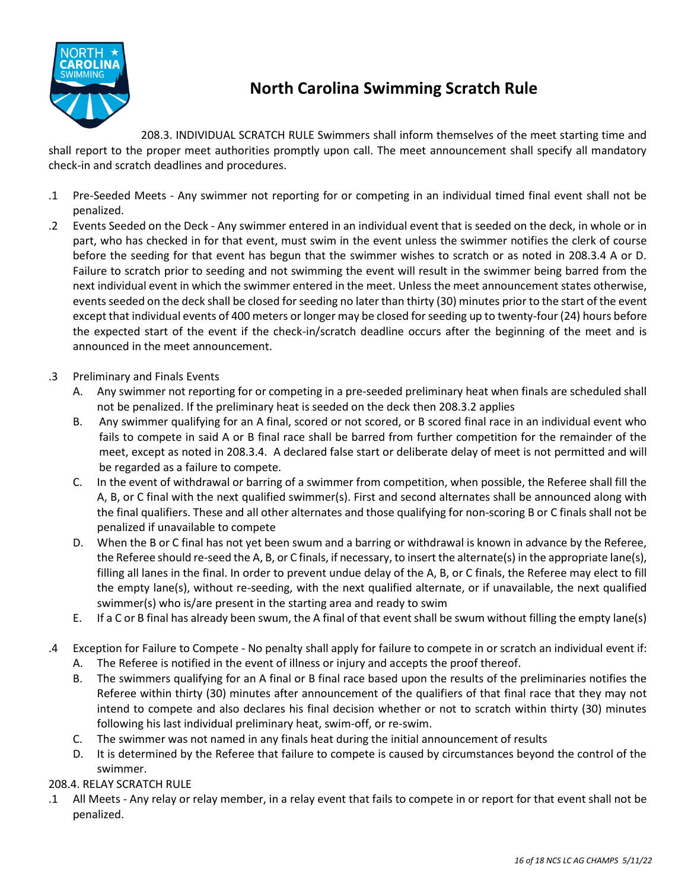

# **North Carolina Swimming Scratch Rule**

208.3. INDIVIDUAL SCRATCH RULE Swimmers shall inform themselves of the meet starting time and shall report to the proper meet authorities promptly upon call. The meet announcement shall specify all mandatory check-in and scratch deadlines and procedures.

- .1 Pre-Seeded Meets Any swimmer not reporting for or competing in an individual timed final event shall not be penalized.
- .2 Events Seeded on the Deck Any swimmer entered in an individual event that is seeded on the deck, in whole or in part, who has checked in for that event, must swim in the event unless the swimmer notifies the clerk of course before the seeding for that event has begun that the swimmer wishes to scratch or as noted in 208.3.4 A or D. Failure to scratch prior to seeding and not swimming the event will result in the swimmer being barred from the next individual event in which the swimmer entered in the meet. Unless the meet announcement states otherwise, events seeded on the deck shall be closed for seeding no later than thirty (30) minutes prior to the start of the event except that individual events of 400 meters or longer may be closed for seeding up to twenty-four (24) hours before the expected start of the event if the check-in/scratch deadline occurs after the beginning of the meet and is announced in the meet announcement.
- .3 Preliminary and Finals Events
	- A. Any swimmer not reporting for or competing in a pre-seeded preliminary heat when finals are scheduled shall not be penalized. If the preliminary heat is seeded on the deck then 208.3.2 applies
	- B. Any swimmer qualifying for an A final, scored or not scored, or B scored final race in an individual event who fails to compete in said A or B final race shall be barred from further competition for the remainder of the meet, except as noted in 208.3.4. A declared false start or deliberate delay of meet is not permitted and will be regarded as a failure to compete.
	- C. In the event of withdrawal or barring of a swimmer from competition, when possible, the Referee shall fill the A, B, or C final with the next qualified swimmer(s). First and second alternates shall be announced along with the final qualifiers. These and all other alternates and those qualifying for non-scoring B or C finals shall not be penalized if unavailable to compete
	- D. When the B or C final has not yet been swum and a barring or withdrawal is known in advance by the Referee, the Referee should re-seed the A, B, or C finals, if necessary, to insert the alternate(s) in the appropriate lane(s), filling all lanes in the final. In order to prevent undue delay of the A, B, or C finals, the Referee may elect to fill the empty lane(s), without re-seeding, with the next qualified alternate, or if unavailable, the next qualified swimmer(s) who is/are present in the starting area and ready to swim
	- E. If a C or B final has already been swum, the A final of that event shall be swum without filling the empty lane(s)
- .4 Exception for Failure to Compete No penalty shall apply for failure to compete in or scratch an individual event if: A. The Referee is notified in the event of illness or injury and accepts the proof thereof.
	- B. The swimmers qualifying for an A final or B final race based upon the results of the preliminaries notifies the Referee within thirty (30) minutes after announcement of the qualifiers of that final race that they may not intend to compete and also declares his final decision whether or not to scratch within thirty (30) minutes following his last individual preliminary heat, swim-off, or re-swim.
	- C. The swimmer was not named in any finals heat during the initial announcement of results
	- D. It is determined by the Referee that failure to compete is caused by circumstances beyond the control of the swimmer.

### 208.4. RELAY SCRATCH RULE

.1 All Meets - Any relay or relay member, in a relay event that fails to compete in or report for that event shall not be penalized.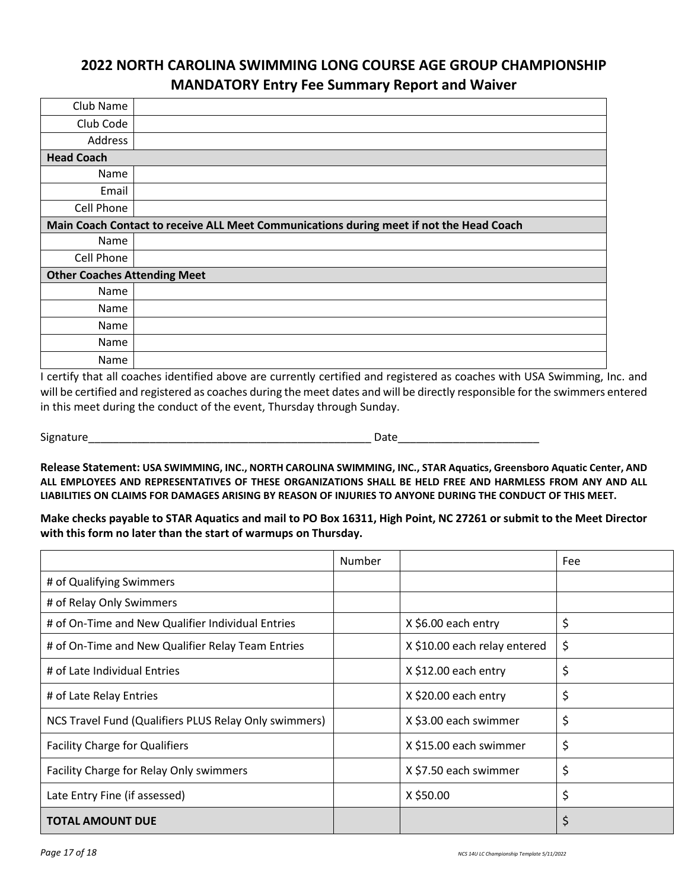### **2022 NORTH CAROLINA SWIMMING LONG COURSE AGE GROUP CHAMPIONSHIP MANDATORY Entry Fee Summary Report and Waiver**

| Club Name                           |                                                                                         |
|-------------------------------------|-----------------------------------------------------------------------------------------|
| Club Code                           |                                                                                         |
| Address                             |                                                                                         |
| <b>Head Coach</b>                   |                                                                                         |
| Name                                |                                                                                         |
| Email                               |                                                                                         |
| Cell Phone                          |                                                                                         |
|                                     | Main Coach Contact to receive ALL Meet Communications during meet if not the Head Coach |
| Name                                |                                                                                         |
| Cell Phone                          |                                                                                         |
| <b>Other Coaches Attending Meet</b> |                                                                                         |
| Name                                |                                                                                         |
| Name                                |                                                                                         |
| Name                                |                                                                                         |
| Name                                |                                                                                         |
| <b>Name</b>                         |                                                                                         |

I certify that all coaches identified above are currently certified and registered as coaches with USA Swimming, Inc. and will be certified and registered as coaches during the meet dates and will be directly responsible for the swimmers entered in this meet during the conduct of the event, Thursday through Sunday.

Signature\_\_\_\_\_\_\_\_\_\_\_\_\_\_\_\_\_\_\_\_\_\_\_\_\_\_\_\_\_\_\_\_\_\_\_\_\_\_\_\_\_\_\_\_\_\_ Date\_\_\_\_\_\_\_\_\_\_\_\_\_\_\_\_\_\_\_\_\_\_\_

**Release Statement: USA SWIMMING, INC., NORTH CAROLINA SWIMMING, INC., STAR Aquatics, Greensboro Aquatic Center, AND ALL EMPLOYEES AND REPRESENTATIVES OF THESE ORGANIZATIONS SHALL BE HELD FREE AND HARMLESS FROM ANY AND ALL LIABILITIES ON CLAIMS FOR DAMAGES ARISING BY REASON OF INJURIES TO ANYONE DURING THE CONDUCT OF THIS MEET.** 

**Make checks payable to STAR Aquatics and mail to PO Box 16311, High Point, NC 27261 or submit to the Meet Director with this form no later than the start of warmups on Thursday.** 

|                                                       | Number |                              | Fee |
|-------------------------------------------------------|--------|------------------------------|-----|
| # of Qualifying Swimmers                              |        |                              |     |
| # of Relay Only Swimmers                              |        |                              |     |
| # of On-Time and New Qualifier Individual Entries     |        | X \$6.00 each entry          | \$  |
| # of On-Time and New Qualifier Relay Team Entries     |        | X \$10.00 each relay entered | \$  |
| # of Late Individual Entries                          |        | X \$12.00 each entry         | \$  |
| # of Late Relay Entries                               |        | X \$20.00 each entry         | \$  |
| NCS Travel Fund (Qualifiers PLUS Relay Only swimmers) |        | X \$3.00 each swimmer        | \$  |
| <b>Facility Charge for Qualifiers</b>                 |        | X \$15.00 each swimmer       | \$  |
| Facility Charge for Relay Only swimmers               |        | X \$7.50 each swimmer        | \$  |
| Late Entry Fine (if assessed)                         |        | X \$50.00                    | \$  |
| <b>TOTAL AMOUNT DUE</b>                               |        |                              | \$  |